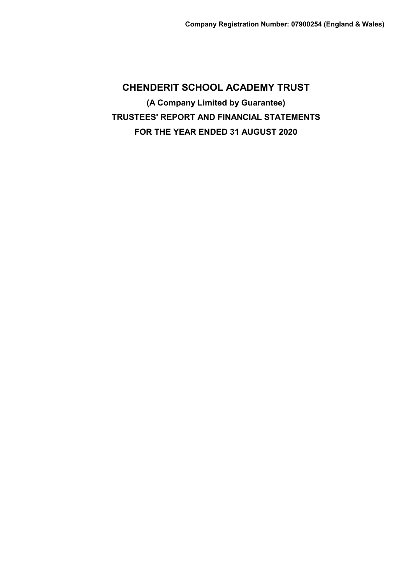**CHENDERIT SCHOOL ACADEMY TRUST (A Company Limited by Guarantee) TRUSTEES' REPORT AND FINANCIAL STATEMENTS FOR THE YEAR ENDED 31 AUGUST 2020**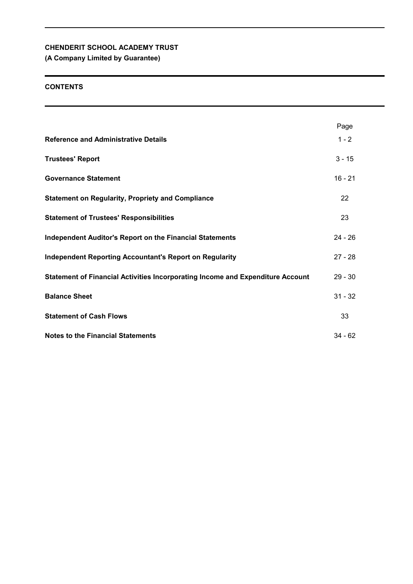# **(A Company Limited by Guarantee)**

# **CONTENTS**

|                                                                                | Page      |
|--------------------------------------------------------------------------------|-----------|
| <b>Reference and Administrative Details</b>                                    | $1 - 2$   |
| <b>Trustees' Report</b>                                                        | $3 - 15$  |
| <b>Governance Statement</b>                                                    | $16 - 21$ |
| <b>Statement on Regularity, Propriety and Compliance</b>                       | 22        |
| <b>Statement of Trustees' Responsibilities</b>                                 | 23        |
| <b>Independent Auditor's Report on the Financial Statements</b>                | $24 - 26$ |
| <b>Independent Reporting Accountant's Report on Regularity</b>                 | $27 - 28$ |
| Statement of Financial Activities Incorporating Income and Expenditure Account | $29 - 30$ |
| <b>Balance Sheet</b>                                                           | $31 - 32$ |
| <b>Statement of Cash Flows</b>                                                 | 33        |
| <b>Notes to the Financial Statements</b>                                       | $34 - 62$ |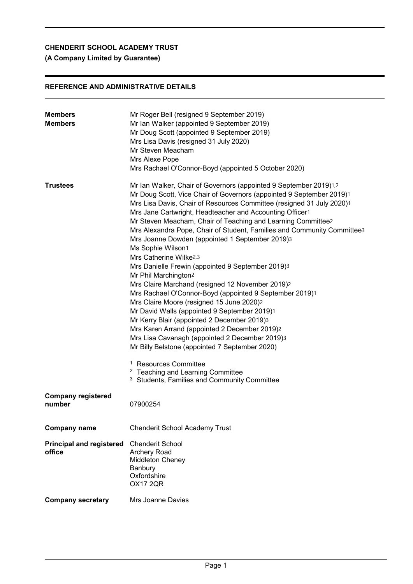# **(A Company Limited by Guarantee)**

# **REFERENCE AND ADMINISTRATIVE DETAILS**

| <b>Members</b><br><b>Members</b>          | Mr Roger Bell (resigned 9 September 2019)<br>Mr Ian Walker (appointed 9 September 2019)<br>Mr Doug Scott (appointed 9 September 2019)<br>Mrs Lisa Davis (resigned 31 July 2020)<br>Mr Steven Meacham<br>Mrs Alexe Pope<br>Mrs Rachael O'Connor-Boyd (appointed 5 October 2020)                                                                                                                                                                                                                                                                                                                                                                                                                                                                                                                                                                                                                                                                                                                                                                                                                                                                                          |
|-------------------------------------------|-------------------------------------------------------------------------------------------------------------------------------------------------------------------------------------------------------------------------------------------------------------------------------------------------------------------------------------------------------------------------------------------------------------------------------------------------------------------------------------------------------------------------------------------------------------------------------------------------------------------------------------------------------------------------------------------------------------------------------------------------------------------------------------------------------------------------------------------------------------------------------------------------------------------------------------------------------------------------------------------------------------------------------------------------------------------------------------------------------------------------------------------------------------------------|
| <b>Trustees</b>                           | Mr Ian Walker, Chair of Governors (appointed 9 September 2019)1,2<br>Mr Doug Scott, Vice Chair of Governors (appointed 9 September 2019)1<br>Mrs Lisa Davis, Chair of Resources Committee (resigned 31 July 2020)1<br>Mrs Jane Cartwright, Headteacher and Accounting Officer1<br>Mr Steven Meacham, Chair of Teaching and Learning Committee2<br>Mrs Alexandra Pope, Chair of Student, Families and Community Committee3<br>Mrs Joanne Dowden (appointed 1 September 2019)3<br>Ms Sophie Wilson1<br>Mrs Catherine Wilke2,3<br>Mrs Danielle Frewin (appointed 9 September 2019)3<br>Mr Phil Marchington2<br>Mrs Claire Marchand (resigned 12 November 2019)2<br>Mrs Rachael O'Connor-Boyd (appointed 9 September 2019)1<br>Mrs Claire Moore (resigned 15 June 2020)2<br>Mr David Walls (appointed 9 September 2019)1<br>Mr Kerry Blair (appointed 2 December 2019)3<br>Mrs Karen Arrand (appointed 2 December 2019)2<br>Mrs Lisa Cavanagh (appointed 2 December 2019)3<br>Mr Billy Belstone (appointed 7 September 2020)<br><sup>1</sup> Resources Committee<br><sup>2</sup> Teaching and Learning Committee<br><sup>3</sup> Students, Families and Community Committee |
| <b>Company registered</b><br>number       | 07900254                                                                                                                                                                                                                                                                                                                                                                                                                                                                                                                                                                                                                                                                                                                                                                                                                                                                                                                                                                                                                                                                                                                                                                |
| <b>Company name</b>                       | <b>Chenderit School Academy Trust</b>                                                                                                                                                                                                                                                                                                                                                                                                                                                                                                                                                                                                                                                                                                                                                                                                                                                                                                                                                                                                                                                                                                                                   |
| <b>Principal and registered</b><br>office | <b>Chenderit School</b><br><b>Archery Road</b><br><b>Middleton Cheney</b><br>Banbury<br>Oxfordshire<br><b>OX17 2QR</b>                                                                                                                                                                                                                                                                                                                                                                                                                                                                                                                                                                                                                                                                                                                                                                                                                                                                                                                                                                                                                                                  |
| <b>Company secretary</b>                  | Mrs Joanne Davies                                                                                                                                                                                                                                                                                                                                                                                                                                                                                                                                                                                                                                                                                                                                                                                                                                                                                                                                                                                                                                                                                                                                                       |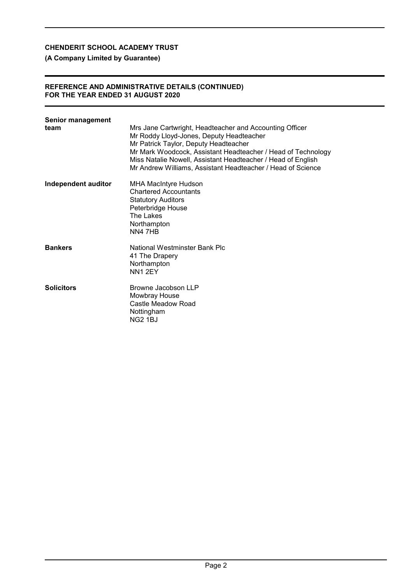**(A Company Limited by Guarantee)**

### **REFERENCE AND ADMINISTRATIVE DETAILS (CONTINUED) FOR THE YEAR ENDED 31 AUGUST 2020**

| <b>Senior management</b><br>team | Mrs Jane Cartwright, Headteacher and Accounting Officer<br>Mr Roddy Lloyd-Jones, Deputy Headteacher<br>Mr Patrick Taylor, Deputy Headteacher<br>Mr Mark Woodcock, Assistant Headteacher / Head of Technology<br>Miss Natalie Nowell, Assistant Headteacher / Head of English<br>Mr Andrew Williams, Assistant Headteacher / Head of Science |
|----------------------------------|---------------------------------------------------------------------------------------------------------------------------------------------------------------------------------------------------------------------------------------------------------------------------------------------------------------------------------------------|
| Independent auditor              | MHA MacIntyre Hudson<br><b>Chartered Accountants</b><br><b>Statutory Auditors</b><br>Peterbridge House<br>The Lakes<br>Northampton<br>NN4 7HB                                                                                                                                                                                               |
| <b>Bankers</b>                   | National Westminster Bank Plc<br>41 The Drapery<br>Northampton<br>NN <sub>1</sub> 2EY                                                                                                                                                                                                                                                       |
| <b>Solicitors</b>                | Browne Jacobson LLP<br>Mowbray House<br>Castle Meadow Road<br>Nottingham<br><b>NG2 1BJ</b>                                                                                                                                                                                                                                                  |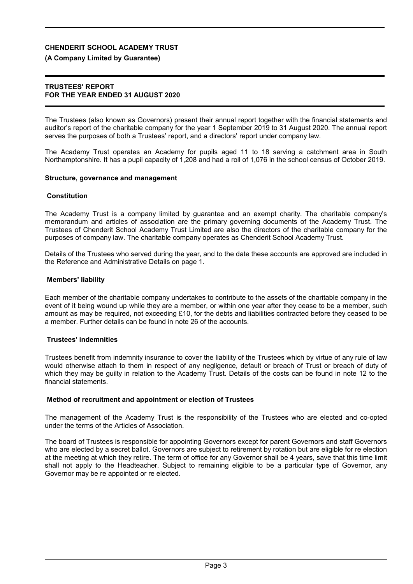### **(A Company Limited by Guarantee)**

#### **TRUSTEES' REPORT FOR THE YEAR ENDED 31 AUGUST 2020**

The Trustees (also known as Governors) present their annual report together with the financial statements and auditor's report of the charitable company for the year 1 September 2019 to 31 August 2020. The annual report serves the purposes of both a Trustees' report, and a directors' report under company law.

The Academy Trust operates an Academy for pupils aged 11 to 18 serving a catchment area in South Northamptonshire. It has a pupil capacity of 1,208 and had a roll of 1,076 in the school census of October 2019.

#### **Structure, governance and management**

#### **Constitution**

The Academy Trust is a company limited by guarantee and an exempt charity. The charitable company's memorandum and articles of association are the primary governing documents of the Academy Trust. The Trustees of Chenderit School Academy Trust Limited are also the directors of the charitable company for the purposes of company law. The charitable company operates as Chenderit School Academy Trust.

Details of the Trustees who served during the year, and to the date these accounts are approved are included in the Reference and Administrative Details on page 1.

#### **Members' liability**

Each member of the charitable company undertakes to contribute to the assets of the charitable company in the event of it being wound up while they are a member, or within one year after they cease to be a member, such amount as may be required, not exceeding £10, for the debts and liabilities contracted before they ceased to be a member. Further details can be found in note 26 of the accounts.

### **Trustees' indemnities**

Trustees benefit from indemnity insurance to cover the liability of the Trustees which by virtue of any rule of law would otherwise attach to them in respect of any negligence, default or breach of Trust or breach of duty of which they may be guilty in relation to the Academy Trust. Details of the costs can be found in note 12 to the financial statements.

### **Method of recruitment and appointment or election of Trustees**

The management of the Academy Trust is the responsibility of the Trustees who are elected and co-opted under the terms of the Articles of Association.

The board of Trustees is responsible for appointing Governors except for parent Governors and staff Governors who are elected by a secret ballot. Governors are subject to retirement by rotation but are eligible for re election at the meeting at which they retire. The term of office for any Governor shall be 4 years, save that this time limit shall not apply to the Headteacher. Subject to remaining eligible to be a particular type of Governor, any Governor may be re appointed or re elected.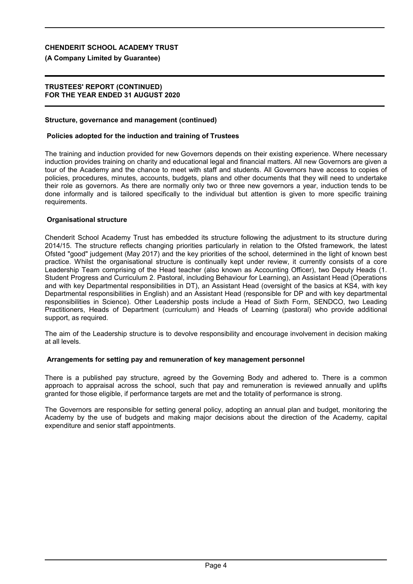#### **(A Company Limited by Guarantee)**

### **TRUSTEES' REPORT (CONTINUED) FOR THE YEAR ENDED 31 AUGUST 2020**

#### **Structure, governance and management (continued)**

#### **Policies adopted for the induction and training of Trustees**

The training and induction provided for new Governors depends on their existing experience. Where necessary induction provides training on charity and educational legal and financial matters. All new Governors are given a tour of the Academy and the chance to meet with staff and students. All Governors have access to copies of policies, procedures, minutes, accounts, budgets, plans and other documents that they will need to undertake their role as governors. As there are normally only two or three new governors a year, induction tends to be done informally and is tailored specifically to the individual but attention is given to more specific training requirements.

#### **Organisational structure**

Chenderit School Academy Trust has embedded its structure following the adjustment to its structure during 2014/15. The structure reflects changing priorities particularly in relation to the Ofsted framework, the latest Ofsted "good" judgement (May 2017) and the key priorities of the school, determined in the light of known best practice. Whilst the organisational structure is continually kept under review, it currently consists of a core Leadership Team comprising of the Head teacher (also known as Accounting Officer), two Deputy Heads (1. Student Progress and Curriculum 2. Pastoral, including Behaviour for Learning), an Assistant Head (Operations and with key Departmental responsibilities in DT), an Assistant Head (oversight of the basics at KS4, with key Departmental responsibilities in English) and an Assistant Head (responsible for DP and with key departmental responsibilities in Science). Other Leadership posts include a Head of Sixth Form, SENDCO, two Leading Practitioners, Heads of Department (curriculum) and Heads of Learning (pastoral) who provide additional support, as required.

The aim of the Leadership structure is to devolve responsibility and encourage involvement in decision making at all levels.

#### **Arrangements for setting pay and remuneration of key management personnel**

There is a published pay structure, agreed by the Governing Body and adhered to. There is a common approach to appraisal across the school, such that pay and remuneration is reviewed annually and uplifts granted for those eligible, if performance targets are met and the totality of performance is strong.

The Governors are responsible for setting general policy, adopting an annual plan and budget, monitoring the Academy by the use of budgets and making major decisions about the direction of the Academy, capital expenditure and senior staff appointments.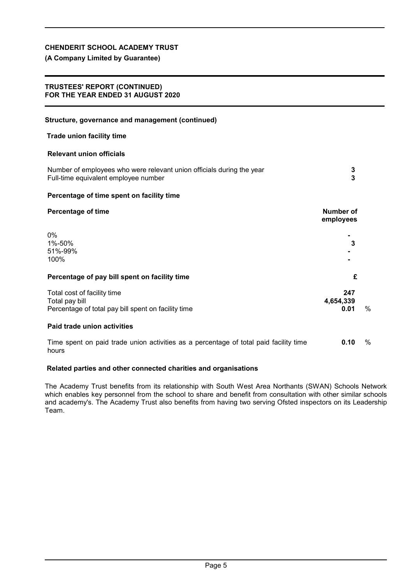## **(A Company Limited by Guarantee)**

### **TRUSTEES' REPORT (CONTINUED) FOR THE YEAR ENDED 31 AUGUST 2020**

| Structure, governance and management (continued)                                                              |                               |      |
|---------------------------------------------------------------------------------------------------------------|-------------------------------|------|
| <b>Trade union facility time</b>                                                                              |                               |      |
| <b>Relevant union officials</b>                                                                               |                               |      |
| Number of employees who were relevant union officials during the year<br>Full-time equivalent employee number | $\frac{3}{3}$                 |      |
| Percentage of time spent on facility time                                                                     |                               |      |
| <b>Percentage of time</b>                                                                                     | <b>Number of</b><br>employees |      |
| 0%<br>1%-50%<br>51%-99%<br>100%                                                                               | 3                             |      |
| Percentage of pay bill spent on facility time                                                                 | £                             |      |
| Total cost of facility time<br>Total pay bill<br>Percentage of total pay bill spent on facility time          | 247<br>4,654,339<br>0.01      | $\%$ |
| Paid trade union activities                                                                                   |                               |      |
| Time spent on paid trade union activities as a percentage of total paid facility time<br>hours                | 0.10                          | %    |

### **Related parties and other connected charities and organisations**

The Academy Trust benefits from its relationship with South West Area Northants (SWAN) Schools Network which enables key personnel from the school to share and benefit from consultation with other similar schools and academy's. The Academy Trust also benefits from having two serving Ofsted inspectors on its Leadership Team.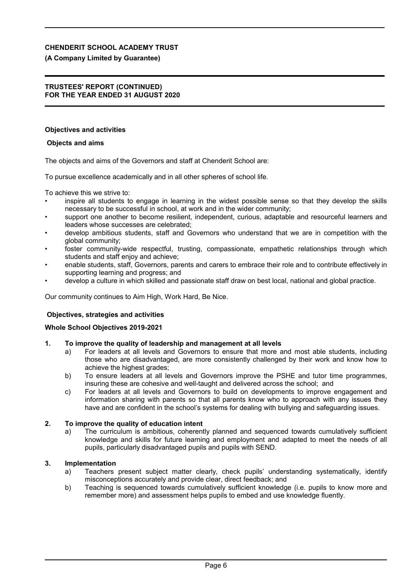# **(A Company Limited by Guarantee)**

## **TRUSTEES' REPORT (CONTINUED) FOR THE YEAR ENDED 31 AUGUST 2020**

# **Objectives and activities**

# **Objects and aims**

The objects and aims of the Governors and staff at Chenderit School are:

To pursue excellence academically and in all other spheres of school life.

To achieve this we strive to:

- inspire all students to engage in learning in the widest possible sense so that they develop the skills necessary to be successful in school, at work and in the wider community;
- support one another to become resilient, independent, curious, adaptable and resourceful learners and leaders whose successes are celebrated;
- develop ambitious students, staff and Governors who understand that we are in competition with the global community;
- foster community-wide respectful, trusting, compassionate, empathetic relationships through which students and staff enjoy and achieve;
- enable students, staff, Governors, parents and carers to embrace their role and to contribute effectively in supporting learning and progress; and
- develop a culture in which skilled and passionate staff draw on best local, national and global practice.

Our community continues to Aim High, Work Hard, Be Nice.

# **Objectives, strategies and activities**

# **Whole School Objectives 2019-2021**

# **1. To improve the quality of leadership and management at all levels**

- a) For leaders at all levels and Governors to ensure that more and most able students, including those who are disadvantaged, are more consistently challenged by their work and know how to achieve the highest grades;
- b) To ensure leaders at all levels and Governors improve the PSHE and tutor time programmes, insuring these are cohesive and well-taught and delivered across the school; and
- c) For leaders at all levels and Governors to build on developments to improve engagement and information sharing with parents so that all parents know who to approach with any issues they have and are confident in the school's systems for dealing with bullying and safeguarding issues.

# **2. To improve the quality of education intent**

a) The curriculum is ambitious, coherently planned and sequenced towards cumulatively sufficient knowledge and skills for future learning and employment and adapted to meet the needs of all pupils, particularly disadvantaged pupils and pupils with SEND.

# **3. Implementation**

- a) Teachers present subject matter clearly, check pupils' understanding systematically, identify misconceptions accurately and provide clear, direct feedback; and
- b) Teaching is sequenced towards cumulatively sufficient knowledge (i.e. pupils to know more and remember more) and assessment helps pupils to embed and use knowledge fluently.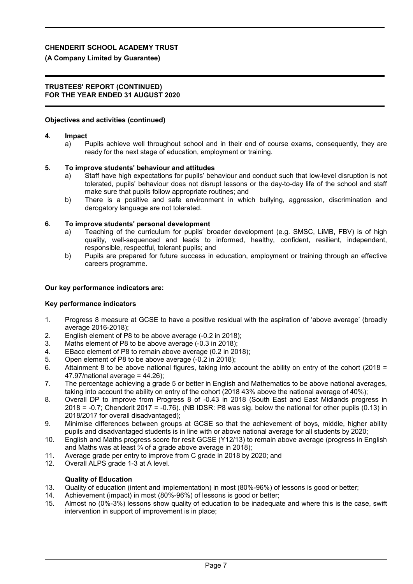## **(A Company Limited by Guarantee)**

### **TRUSTEES' REPORT (CONTINUED) FOR THE YEAR ENDED 31 AUGUST 2020**

### **Objectives and activities (continued)**

### **4. Impact**

a) Pupils achieve well throughout school and in their end of course exams, consequently, they are ready for the next stage of education, employment or training.

### **5. To improve students' behaviour and attitudes**

- a) Staff have high expectations for pupils' behaviour and conduct such that low-level disruption is not tolerated, pupils' behaviour does not disrupt lessons or the day-to-day life of the school and staff make sure that pupils follow appropriate routines; and
- b) There is a positive and safe environment in which bullying, aggression, discrimination and derogatory language are not tolerated.

### **6. To improve students' personal development**

- a) Teaching of the curriculum for pupils' broader development (e.g. SMSC, LiMB, FBV) is of high quality, well-sequenced and leads to informed, healthy, confident, resilient, independent, responsible, respectful, tolerant pupils; and
- b) Pupils are prepared for future success in education, employment or training through an effective careers programme.

### **Our key performance indicators are:**

### **Key performance indicators**

- 1. Progress 8 measure at GCSE to have a positive residual with the aspiration of 'above average' (broadly average 2016-2018);
- 2. English element of P8 to be above average (-0.2 in 2018);
- 3. Maths element of P8 to be above average (-0.3 in 2018);
- 4. EBacc element of P8 to remain above average (0.2 in 2018);
- 5. Open element of P8 to be above average (-0.2 in 2018);
- 6. Attainment 8 to be above national figures, taking into account the ability on entry of the cohort (2018 = 47.97/national average = 44.26);
- 7. The percentage achieving a grade 5 or better in English and Mathematics to be above national averages, taking into account the ability on entry of the cohort (2018 43% above the national average of 40%);
- 8. Overall DP to improve from Progress 8 of -0.43 in 2018 (South East and East Midlands progress in 2018 = -0.7; Chenderit 2017 = -0.76). (NB IDSR: P8 was sig. below the national for other pupils  $(0.13)$  in 2018/2017 for overall disadvantaged);
- 9. Minimise differences between groups at GCSE so that the achievement of boys, middle, higher ability pupils and disadvantaged students is in line with or above national average for all students by 2020;
- 10. English and Maths progress score for resit GCSE (Y12/13) to remain above average (progress in English and Maths was at least  $\frac{3}{4}$  of a grade above average in 2018):
- 11. Average grade per entry to improve from C grade in 2018 by 2020; and
- 12. Overall ALPS grade 1-3 at A level.

## **Quality of Education**

- 13. Quality of education (intent and implementation) in most (80%-96%) of lessons is good or better;
- 14. Achievement (impact) in most (80%-96%) of lessons is good or better;
- 15. Almost no (0%-3%) lessons show quality of education to be inadequate and where this is the case, swift intervention in support of improvement is in place;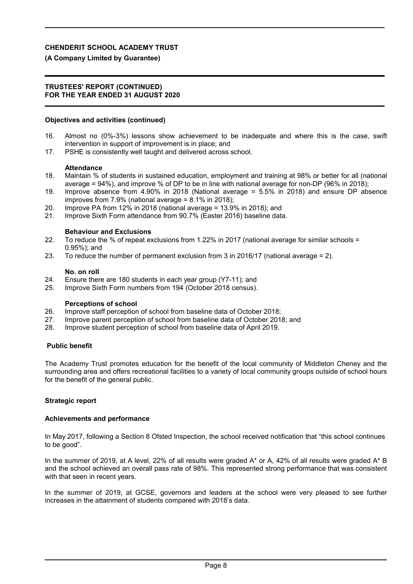### **(A Company Limited by Guarantee)**

#### **TRUSTEES' REPORT (CONTINUED) FOR THE YEAR ENDED 31 AUGUST 2020**

#### **Objectives and activities (continued)**

- 16. Almost no (0%-3%) lessons show achievement to be inadequate and where this is the case, swift intervention in support of improvement is in place; and
- 17. PSHE is consistently well taught and delivered across school.

#### **Attendance**

- 18. Maintain % of students in sustained education, employment and training at 98% or better for all (national average = 94%), and improve % of DP to be in line with national average for non-DP (96% in 2018);
- 19. Improve absence from 4.90% in 2018 (National average = 5.5% in 2018) and ensure DP absence improves from 7.9% (national average =  $8.1\%$  in 2018);
- 20. Improve PA from 12% in 2018 (national average = 13.9% in 2018); and
- 21. Improve Sixth Form attendance from 90.7% (Easter 2016) baseline data.

#### **Behaviour and Exclusions**

- 22. To reduce the % of repeat exclusions from 1.22% in 2017 (national average for similar schools = 0.95%); and
- 23. To reduce the number of permanent exclusion from 3 in 2016/17 (national average = 2).

### **No. on roll**

- 24. Ensure there are 180 students in each year group (Y7-11); and
- 25. Improve Sixth Form numbers from 194 (October 2018 census).

#### **Perceptions of school**

- 26. Improve staff perception of school from baseline data of October 2018;
- 27. Improve parent perception of school from baseline data of October 2018; and
- 28. Improve student perception of school from baseline data of April 2019.

### **Public benefit**

The Academy Trust promotes education for the benefit of the local community of Middleton Cheney and the surrounding area and offers recreational facilities to a variety of local community groups outside of school hours for the benefit of the general public.

### **Strategic report**

#### **Achievements and performance**

In May 2017, following a Section 8 Ofsted Inspection, the school received notification that "this school continues to be good".

In the summer of 2019, at A level, 22% of all results were graded A<sup>\*</sup> or A, 42% of all results were graded A<sup>\*</sup> B and the school achieved an overall pass rate of 98%. This represented strong performance that was consistent with that seen in recent years.

In the summer of 2019, at GCSE, governors and leaders at the school were very pleased to see further increases in the attainment of students compared with 2018's data.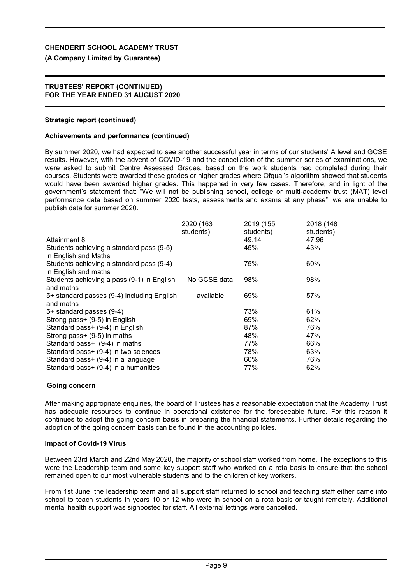### **(A Company Limited by Guarantee)**

#### **TRUSTEES' REPORT (CONTINUED) FOR THE YEAR ENDED 31 AUGUST 2020**

#### **Strategic report (continued)**

#### **Achievements and performance (continued)**

By summer 2020, we had expected to see another successful year in terms of our students' A level and GCSE results. However, with the advent of COVID-19 and the cancellation of the summer series of examinations, we were asked to submit Centre Assessed Grades, based on the work students had completed during their courses. Students were awarded these grades or higher grades where Ofqual's algorithm showed that students would have been awarded higher grades. This happened in very few cases. Therefore, and in light of the government's statement that: "We will not be publishing school, college or multi-academy trust (MAT) level performance data based on summer 2020 tests, assessments and exams at any phase", we are unable to publish data for summer 2020.

| 49.14 | 47.96 |
|-------|-------|
|       |       |
|       | 43%   |
|       |       |
| 75%   | 60%   |
|       |       |
| 98%   | 98%   |
|       |       |
| 69%   | 57%   |
|       |       |
| 73%   | 61%   |
| 69%   | 62%   |
| 87%   | 76%   |
| 48%   | 47%   |
| 77%   | 66%   |
| 78%   | 63%   |
| 60%   | 76%   |
| 77%   | 62%   |
|       | 45%   |

#### **Going concern**

After making appropriate enquiries, the board of Trustees has a reasonable expectation that the Academy Trust has adequate resources to continue in operational existence for the foreseeable future. For this reason it continues to adopt the going concern basis in preparing the financial statements. Further details regarding the adoption of the going concern basis can be found in the accounting policies.

#### **Impact of Covid-19 Virus**

Between 23rd March and 22nd May 2020, the majority of school staff worked from home. The exceptions to this were the Leadership team and some key support staff who worked on a rota basis to ensure that the school remained open to our most vulnerable students and to the children of key workers.

From 1st June, the leadership team and all support staff returned to school and teaching staff either came into school to teach students in years 10 or 12 who were in school on a rota basis or taught remotely. Additional mental health support was signposted for staff. All external lettings were cancelled.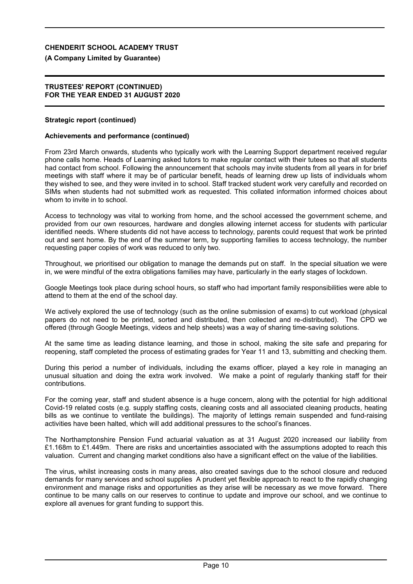### **(A Company Limited by Guarantee)**

#### **TRUSTEES' REPORT (CONTINUED) FOR THE YEAR ENDED 31 AUGUST 2020**

#### **Strategic report (continued)**

#### **Achievements and performance (continued)**

From 23rd March onwards, students who typically work with the Learning Support department received regular phone calls home. Heads of Learning asked tutors to make regular contact with their tutees so that all students had contact from school. Following the announcement that schools may invite students from all years in for brief meetings with staff where it may be of particular benefit, heads of learning drew up lists of individuals whom they wished to see, and they were invited in to school. Staff tracked student work very carefully and recorded on SIMs when students had not submitted work as requested. This collated information informed choices about whom to invite in to school.

Access to technology was vital to working from home, and the school accessed the government scheme, and provided from our own resources, hardware and dongles allowing internet access for students with particular identified needs. Where students did not have access to technology, parents could request that work be printed out and sent home. By the end of the summer term, by supporting families to access technology, the number requesting paper copies of work was reduced to only two.

Throughout, we prioritised our obligation to manage the demands put on staff. In the special situation we were in, we were mindful of the extra obligations families may have, particularly in the early stages of lockdown.

Google Meetings took place during school hours, so staff who had important family responsibilities were able to attend to them at the end of the school day.

We actively explored the use of technology (such as the online submission of exams) to cut workload (physical papers do not need to be printed, sorted and distributed, then collected and re-distributed). The CPD we offered (through Google Meetings, videos and help sheets) was a way of sharing time-saving solutions.

At the same time as leading distance learning, and those in school, making the site safe and preparing for reopening, staff completed the process of estimating grades for Year 11 and 13, submitting and checking them.

During this period a number of individuals, including the exams officer, played a key role in managing an unusual situation and doing the extra work involved. We make a point of regularly thanking staff for their contributions.

For the coming year, staff and student absence is a huge concern, along with the potential for high additional Covid-19 related costs (e.g. supply staffing costs, cleaning costs and all associated cleaning products, heating bills as we continue to ventilate the buildings). The majority of lettings remain suspended and fund-raising activities have been halted, which will add additional pressures to the school's finances.

The Northamptonshire Pension Fund actuarial valuation as at 31 August 2020 increased our liability from £1.168m to £1.449m. There are risks and uncertainties associated with the assumptions adopted to reach this valuation. Current and changing market conditions also have a significant effect on the value of the liabilities.

The virus, whilst increasing costs in many areas, also created savings due to the school closure and reduced demands for many services and school supplies A prudent yet flexible approach to react to the rapidly changing environment and manage risks and opportunities as they arise will be necessary as we move forward. There continue to be many calls on our reserves to continue to update and improve our school, and we continue to explore all avenues for grant funding to support this.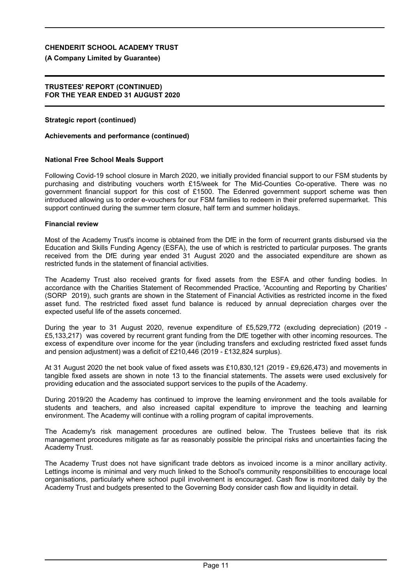#### **(A Company Limited by Guarantee)**

#### **TRUSTEES' REPORT (CONTINUED) FOR THE YEAR ENDED 31 AUGUST 2020**

#### **Strategic report (continued)**

#### **Achievements and performance (continued)**

#### **National Free School Meals Support**

Following Covid-19 school closure in March 2020, we initially provided financial support to our FSM students by purchasing and distributing vouchers worth £15/week for The Mid-Counties Co-operative. There was no government financial support for this cost of £1500. The Edenred government support scheme was then introduced allowing us to order e-vouchers for our FSM families to redeem in their preferred supermarket. This support continued during the summer term closure, half term and summer holidays.

#### **Financial review**

Most of the Academy Trust's income is obtained from the DfE in the form of recurrent grants disbursed via the Education and Skills Funding Agency (ESFA), the use of which is restricted to particular purposes. The grants received from the DfE during year ended 31 August 2020 and the associated expenditure are shown as restricted funds in the statement of financial activities.

The Academy Trust also received grants for fixed assets from the ESFA and other funding bodies. In accordance with the Charities Statement of Recommended Practice, 'Accounting and Reporting by Charities' (SORP 2019), such grants are shown in the Statement of Financial Activities as restricted income in the fixed asset fund. The restricted fixed asset fund balance is reduced by annual depreciation charges over the expected useful life of the assets concerned.

During the year to 31 August 2020, revenue expenditure of £5,529,772 (excluding depreciation) (2019 - £5,133,217) was covered by recurrent grant funding from the DfE together with other incoming resources. The excess of expenditure over income for the year (including transfers and excluding restricted fixed asset funds and pension adjustment) was a deficit of £210,446 (2019 - £132,824 surplus).

At 31 August 2020 the net book value of fixed assets was £10,830,121 (2019 - £9,626,473) and movements in tangible fixed assets are shown in note 13 to the financial statements. The assets were used exclusively for providing education and the associated support services to the pupils of the Academy.

During 2019/20 the Academy has continued to improve the learning environment and the tools available for students and teachers, and also increased capital expenditure to improve the teaching and learning environment. The Academy will continue with a rolling program of capital improvements.

The Academy's risk management procedures are outlined below. The Trustees believe that its risk management procedures mitigate as far as reasonably possible the principal risks and uncertainties facing the Academy Trust.

The Academy Trust does not have significant trade debtors as invoiced income is a minor ancillary activity. Lettings income is minimal and very much linked to the School's community responsibilities to encourage local organisations, particularly where school pupil involvement is encouraged. Cash flow is monitored daily by the Academy Trust and budgets presented to the Governing Body consider cash flow and liquidity in detail.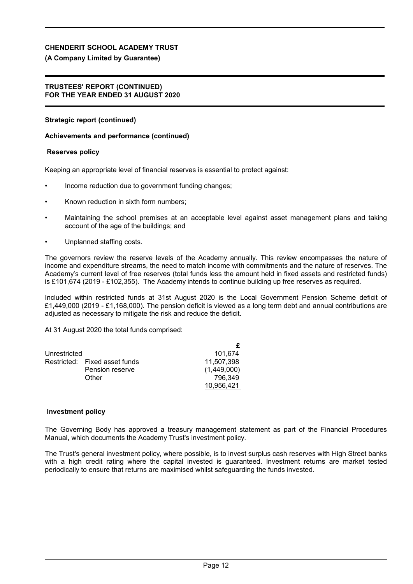# **(A Company Limited by Guarantee)**

## **TRUSTEES' REPORT (CONTINUED) FOR THE YEAR ENDED 31 AUGUST 2020**

# **Strategic report (continued)**

# **Achievements and performance (continued)**

# **Reserves policy**

Keeping an appropriate level of financial reserves is essential to protect against:

- Income reduction due to government funding changes;
- Known reduction in sixth form numbers;
- Maintaining the school premises at an acceptable level against asset management plans and taking account of the age of the buildings; and
- Unplanned staffing costs.

The governors review the reserve levels of the Academy annually. This review encompasses the nature of income and expenditure streams, the need to match income with commitments and the nature of reserves. The Academy's current level of free reserves (total funds less the amount held in fixed assets and restricted funds) is £101,674 (2019 - £102,355). The Academy intends to continue building up free reserves as required.

Included within restricted funds at 31st August 2020 is the Local Government Pension Scheme deficit of £1,449,000 (2019 - £1,168,000). The pension deficit is viewed as a long term debt and annual contributions are adjusted as necessary to mitigate the risk and reduce the deficit.

At 31 August 2020 the total funds comprised:

| Unrestricted |                               | 101.674     |
|--------------|-------------------------------|-------------|
|              | Restricted: Fixed asset funds | 11.507.398  |
|              | Pension reserve               | (1,449,000) |
|              | Other                         | 796.349     |
|              |                               | 10.956.421  |

# **Investment policy**

The Governing Body has approved a treasury management statement as part of the Financial Procedures Manual, which documents the Academy Trust's investment policy.

The Trust's general investment policy, where possible, is to invest surplus cash reserves with High Street banks with a high credit rating where the capital invested is guaranteed. Investment returns are market tested periodically to ensure that returns are maximised whilst safeguarding the funds invested.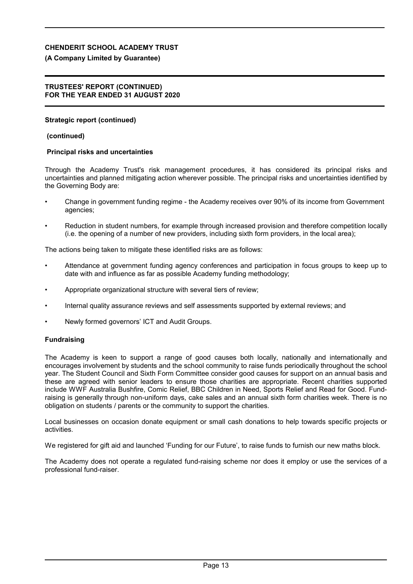# **(A Company Limited by Guarantee)**

## **TRUSTEES' REPORT (CONTINUED) FOR THE YEAR ENDED 31 AUGUST 2020**

# **Strategic report (continued)**

# **(continued)**

# **Principal risks and uncertainties**

Through the Academy Trust's risk management procedures, it has considered its principal risks and uncertainties and planned mitigating action wherever possible. The principal risks and uncertainties identified by the Governing Body are:

- Change in government funding regime the Academy receives over 90% of its income from Government agencies;
- Reduction in student numbers, for example through increased provision and therefore competition locally (i.e. the opening of a number of new providers, including sixth form providers, in the local area);

The actions being taken to mitigate these identified risks are as follows:

- Attendance at government funding agency conferences and participation in focus groups to keep up to date with and influence as far as possible Academy funding methodology;
- Appropriate organizational structure with several tiers of review;
- Internal quality assurance reviews and self assessments supported by external reviews; and
- Newly formed governors' ICT and Audit Groups.

# **Fundraising**

The Academy is keen to support a range of good causes both locally, nationally and internationally and encourages involvement by students and the school community to raise funds periodically throughout the school year. The Student Council and Sixth Form Committee consider good causes for support on an annual basis and these are agreed with senior leaders to ensure those charities are appropriate. Recent charities supported include WWF Australia Bushfire, Comic Relief, BBC Children in Need, Sports Relief and Read for Good. Fundraising is generally through non-uniform days, cake sales and an annual sixth form charities week. There is no obligation on students / parents or the community to support the charities.

Local businesses on occasion donate equipment or small cash donations to help towards specific projects or activities.

We registered for gift aid and launched 'Funding for our Future', to raise funds to furnish our new maths block.

The Academy does not operate a regulated fund-raising scheme nor does it employ or use the services of a professional fund-raiser.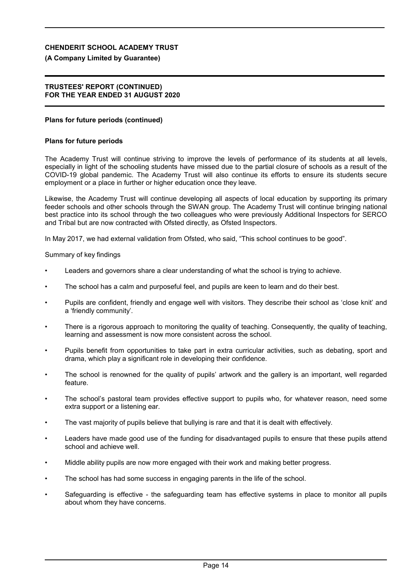#### **(A Company Limited by Guarantee)**

#### **TRUSTEES' REPORT (CONTINUED) FOR THE YEAR ENDED 31 AUGUST 2020**

### **Plans for future periods (continued)**

#### **Plans for future periods**

The Academy Trust will continue striving to improve the levels of performance of its students at all levels, especially in light of the schooling students have missed due to the partial closure of schools as a result of the COVID-19 global pandemic. The Academy Trust will also continue its efforts to ensure its students secure employment or a place in further or higher education once they leave.

Likewise, the Academy Trust will continue developing all aspects of local education by supporting its primary feeder schools and other schools through the SWAN group. The Academy Trust will continue bringing national best practice into its school through the two colleagues who were previously Additional Inspectors for SERCO and Tribal but are now contracted with Ofsted directly, as Ofsted Inspectors.

In May 2017, we had external validation from Ofsted, who said, "This school continues to be good".

Summary of key findings

- Leaders and governors share a clear understanding of what the school is trying to achieve.
- The school has a calm and purposeful feel, and pupils are keen to learn and do their best.
- Pupils are confident, friendly and engage well with visitors. They describe their school as 'close knit' and a 'friendly community'.
- There is a rigorous approach to monitoring the quality of teaching. Consequently, the quality of teaching, learning and assessment is now more consistent across the school.
- Pupils benefit from opportunities to take part in extra curricular activities, such as debating, sport and drama, which play a significant role in developing their confidence.
- The school is renowned for the quality of pupils' artwork and the gallery is an important, well regarded feature.
- The school's pastoral team provides effective support to pupils who, for whatever reason, need some extra support or a listening ear.
- The vast majority of pupils believe that bullying is rare and that it is dealt with effectively.
- Leaders have made good use of the funding for disadvantaged pupils to ensure that these pupils attend school and achieve well.
- Middle ability pupils are now more engaged with their work and making better progress.
- The school has had some success in engaging parents in the life of the school.
- Safeguarding is effective the safeguarding team has effective systems in place to monitor all pupils about whom they have concerns.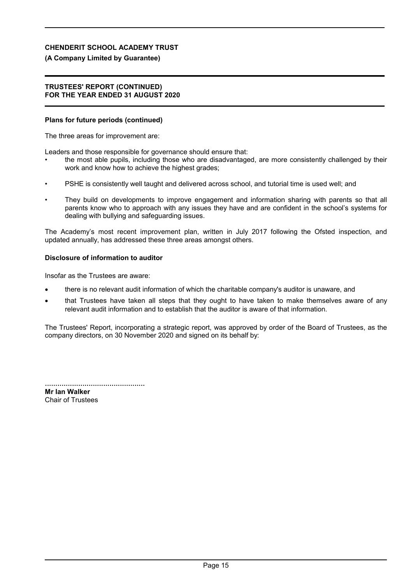### **(A Company Limited by Guarantee)**

#### **TRUSTEES' REPORT (CONTINUED) FOR THE YEAR ENDED 31 AUGUST 2020**

#### **Plans for future periods (continued)**

The three areas for improvement are:

Leaders and those responsible for governance should ensure that:

- the most able pupils, including those who are disadvantaged, are more consistently challenged by their work and know how to achieve the highest grades;
- PSHE is consistently well taught and delivered across school, and tutorial time is used well; and
- They build on developments to improve engagement and information sharing with parents so that all parents know who to approach with any issues they have and are confident in the school's systems for dealing with bullying and safeguarding issues.

The Academy's most recent improvement plan, written in July 2017 following the Ofsted inspection, and updated annually, has addressed these three areas amongst others.

#### **Disclosure of information to auditor**

Insofar as the Trustees are aware:

- there is no relevant audit information of which the charitable company's auditor is unaware, and
- that Trustees have taken all steps that they ought to have taken to make themselves aware of any relevant audit information and to establish that the auditor is aware of that information.

The Trustees' Report, incorporating a strategic report, was approved by order of the Board of Trustees, as the company directors, on 30 November 2020 and signed on its behalf by:

................................................ **Mr Ian Walker**

Chair of Trustees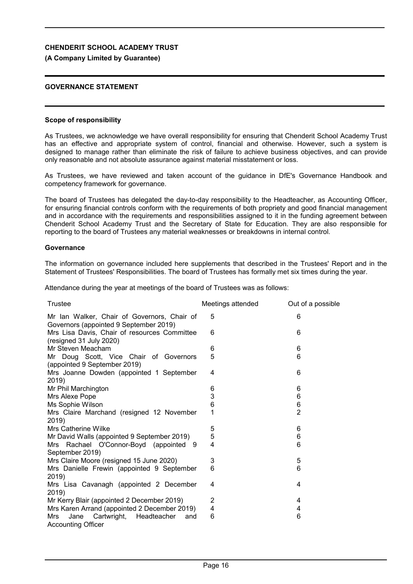### **(A Company Limited by Guarantee)**

### **GOVERNANCE STATEMENT**

#### **Scope of responsibility**

As Trustees, we acknowledge we have overall responsibility for ensuring that Chenderit School Academy Trust has an effective and appropriate system of control, financial and otherwise. However, such a system is designed to manage rather than eliminate the risk of failure to achieve business objectives, and can provide only reasonable and not absolute assurance against material misstatement or loss.

As Trustees, we have reviewed and taken account of the guidance in DfE's Governance Handbook and competency framework for governance.

The board of Trustees has delegated the day-to-day responsibility to the Headteacher, as Accounting Officer, for ensuring financial controls conform with the requirements of both propriety and good financial management and in accordance with the requirements and responsibilities assigned to it in the funding agreement between Chenderit School Academy Trust and the Secretary of State for Education. They are also responsible for reporting to the board of Trustees any material weaknesses or breakdowns in internal control.

#### **Governance**

The information on governance included here supplements that described in the Trustees' Report and in the Statement of Trustees' Responsibilities. The board of Trustees has formally met six times during the year.

Attendance during the year at meetings of the board of Trustees was as follows:

| Trustee                                                                               | Meetings attended | Out of a possible |
|---------------------------------------------------------------------------------------|-------------------|-------------------|
| Mr Ian Walker, Chair of Governors, Chair of<br>Governors (appointed 9 September 2019) | 5                 | 6                 |
| Mrs Lisa Davis, Chair of resources Committee<br>(resigned 31 July 2020)               | 6                 | 6                 |
| Mr Steven Meacham                                                                     | 6                 | 6                 |
| Mr Doug Scott, Vice Chair of Governors<br>(appointed 9 September 2019)                | 5                 | 6                 |
| Mrs Joanne Dowden (appointed 1 September<br>2019)                                     | 4                 | 6                 |
| Mr Phil Marchington                                                                   | 6                 | 6                 |
| Mrs Alexe Pope                                                                        | 3                 | 6                 |
| Ms Sophie Wilson                                                                      | 6                 | 6                 |
| Mrs Claire Marchand (resigned 12 November<br>2019)                                    | 1                 | $\overline{2}$    |
| Mrs Catherine Wilke                                                                   | 5                 | 6                 |
| Mr David Walls (appointed 9 September 2019)                                           | 5                 | 6                 |
| Mrs Rachael O'Connor-Boyd (appointed 9<br>September 2019)                             | 4                 | 6                 |
| Mrs Claire Moore (resigned 15 June 2020)                                              | 3                 | 5                 |
| Mrs Danielle Frewin (appointed 9 September<br>2019)                                   | 6                 | 6                 |
| Mrs Lisa Cavanagh (appointed 2 December<br>2019)                                      | 4                 | 4                 |
| Mr Kerry Blair (appointed 2 December 2019)                                            | 2                 | 4                 |
| Mrs Karen Arrand (appointed 2 December 2019)                                          | 4                 | 4                 |
| Cartwright,<br>Headteacher<br>Mrs<br>Jane<br>and<br><b>Accounting Officer</b>         | 6                 | 6                 |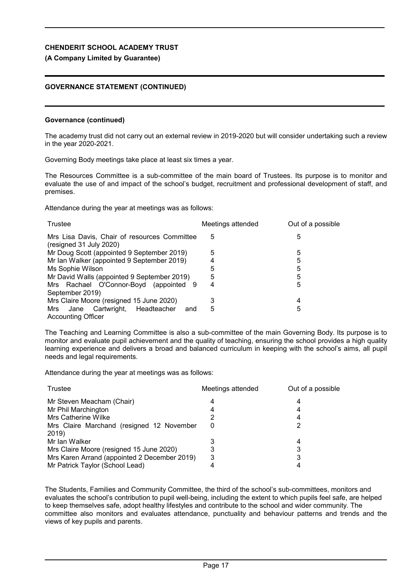### **(A Company Limited by Guarantee)**

### **GOVERNANCE STATEMENT (CONTINUED)**

#### **Governance (continued)**

The academy trust did not carry out an external review in 2019-2020 but will consider undertaking such a review in the year 2020-2021.

Governing Body meetings take place at least six times a year.

The Resources Committee is a sub-committee of the main board of Trustees. Its purpose is to monitor and evaluate the use of and impact of the school's budget, recruitment and professional development of staff, and premises.

Attendance during the year at meetings was as follows:

| Trustee                                      | Meetings attended | Out of a possible |
|----------------------------------------------|-------------------|-------------------|
| Mrs Lisa Davis, Chair of resources Committee | 5                 | 5                 |
| (resigned 31 July 2020)                      |                   |                   |
| Mr Doug Scott (appointed 9 September 2019)   | 5                 | 5                 |
| Mr Ian Walker (appointed 9 September 2019)   | 4                 | 5                 |
| Ms Sophie Wilson                             | 5                 | 5                 |
| Mr David Walls (appointed 9 September 2019)  | 5                 | 5                 |
| Mrs Rachael O'Connor-Boyd (appointed 9       | 4                 | 5                 |
| September 2019)                              |                   |                   |
| Mrs Claire Moore (resigned 15 June 2020)     |                   | 4                 |
| Jane Cartwright, Headteacher<br>Mrs<br>and   | 5                 | 5                 |
| <b>Accounting Officer</b>                    |                   |                   |

The Teaching and Learning Committee is also a sub-committee of the main Governing Body. Its purpose is to monitor and evaluate pupil achievement and the quality of teaching, ensuring the school provides a high quality learning experience and delivers a broad and balanced curriculum in keeping with the school's aims, all pupil needs and legal requirements.

Attendance during the year at meetings was as follows:

| Trustee                                      | Meetings attended | Out of a possible |
|----------------------------------------------|-------------------|-------------------|
| Mr Steven Meacham (Chair)                    |                   |                   |
| Mr Phil Marchington                          |                   |                   |
| <b>Mrs Catherine Wilke</b>                   |                   |                   |
| Mrs Claire Marchand (resigned 12 November    | 0                 |                   |
| 2019)                                        |                   |                   |
| Mr Ian Walker                                |                   |                   |
| Mrs Claire Moore (resigned 15 June 2020)     |                   | 3                 |
| Mrs Karen Arrand (appointed 2 December 2019) | 3                 |                   |
| Mr Patrick Taylor (School Lead)              |                   |                   |

The Students, Families and Community Committee, the third of the school's sub-committees, monitors and evaluates the school's contribution to pupil well-being, including the extent to which pupils feel safe, are helped to keep themselves safe, adopt healthy lifestyles and contribute to the school and wider community. The committee also monitors and evaluates attendance, punctuality and behaviour patterns and trends and the views of key pupils and parents.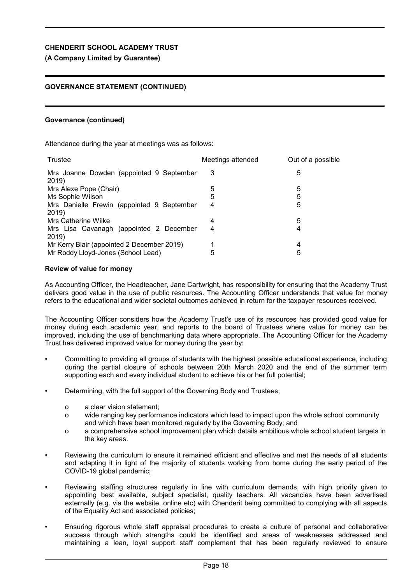# **(A Company Limited by Guarantee)**

# **GOVERNANCE STATEMENT (CONTINUED)**

# **Governance (continued)**

Attendance during the year at meetings was as follows:

| Trustee                                             | Meetings attended | Out of a possible |
|-----------------------------------------------------|-------------------|-------------------|
| Mrs Joanne Dowden (appointed 9 September<br>2019)   | 3                 | 5                 |
| Mrs Alexe Pope (Chair)                              | 5                 | 5                 |
| Ms Sophie Wilson                                    | 5                 | 5                 |
| Mrs Danielle Frewin (appointed 9 September<br>2019) | 4                 | 5                 |
| Mrs Catherine Wilke                                 | 4                 | 5                 |
| Mrs Lisa Cavanagh (appointed 2 December<br>2019)    | 4                 | 4                 |
| Mr Kerry Blair (appointed 2 December 2019)          |                   | 4                 |
| Mr Roddy Lloyd-Jones (School Lead)                  | 5                 | 5                 |

#### **Review of value for money**

As Accounting Officer, the Headteacher, Jane Cartwright, has responsibility for ensuring that the Academy Trust delivers good value in the use of public resources. The Accounting Officer understands that value for money refers to the educational and wider societal outcomes achieved in return for the taxpayer resources received.

The Accounting Officer considers how the Academy Trust's use of its resources has provided good value for money during each academic year, and reports to the board of Trustees where value for money can be improved, including the use of benchmarking data where appropriate. The Accounting Officer for the Academy Trust has delivered improved value for money during the year by:

- Committing to providing all groups of students with the highest possible educational experience, including during the partial closure of schools between 20th March 2020 and the end of the summer term supporting each and every individual student to achieve his or her full potential;
- Determining, with the full support of the Governing Body and Trustees;
	- o a clear vision statement;
	- o wide ranging key performance indicators which lead to impact upon the whole school community and which have been monitored regularly by the Governing Body; and
	- o a comprehensive school improvement plan which details ambitious whole school student targets in the key areas.
- Reviewing the curriculum to ensure it remained efficient and effective and met the needs of all students and adapting it in light of the majority of students working from home during the early period of the COVID-19 global pandemic;
- Reviewing staffing structures regularly in line with curriculum demands, with high priority given to appointing best available, subject specialist, quality teachers. All vacancies have been advertised externally (e.g. via the website, online etc) with Chenderit being committed to complying with all aspects of the Equality Act and associated policies;
- Ensuring rigorous whole staff appraisal procedures to create a culture of personal and collaborative success through which strengths could be identified and areas of weaknesses addressed and maintaining a lean, loyal support staff complement that has been regularly reviewed to ensure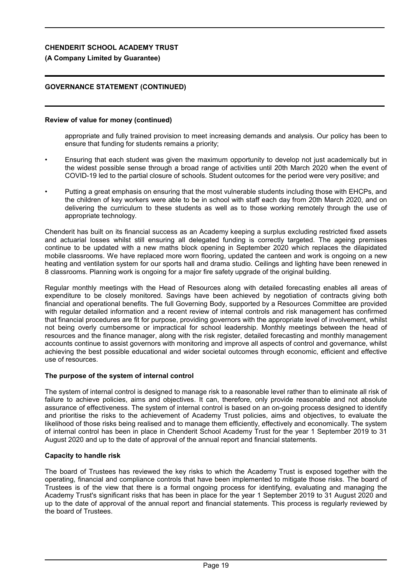# **(A Company Limited by Guarantee)**

# **GOVERNANCE STATEMENT (CONTINUED)**

# **Review of value for money (continued)**

appropriate and fully trained provision to meet increasing demands and analysis. Our policy has been to ensure that funding for students remains a priority;

- Ensuring that each student was given the maximum opportunity to develop not just academically but in the widest possible sense through a broad range of activities until 20th March 2020 when the event of COVID-19 led to the partial closure of schools. Student outcomes for the period were very positive; and
- Putting a great emphasis on ensuring that the most vulnerable students including those with EHCPs, and the children of key workers were able to be in school with staff each day from 20th March 2020, and on delivering the curriculum to these students as well as to those working remotely through the use of appropriate technology.

Chenderit has built on its financial success as an Academy keeping a surplus excluding restricted fixed assets and actuarial losses whilst still ensuring all delegated funding is correctly targeted. The ageing premises continue to be updated with a new maths block opening in September 2020 which replaces the dilapidated mobile classrooms. We have replaced more worn flooring, updated the canteen and work is ongoing on a new heating and ventilation system for our sports hall and drama studio. Ceilings and lighting have been renewed in 8 classrooms. Planning work is ongoing for a major fire safety upgrade of the original building.

Regular monthly meetings with the Head of Resources along with detailed forecasting enables all areas of expenditure to be closely monitored. Savings have been achieved by negotiation of contracts giving both financial and operational benefits. The full Governing Body, supported by a Resources Committee are provided with regular detailed information and a recent review of internal controls and risk management has confirmed that financial procedures are fit for purpose, providing governors with the appropriate level of involvement, whilst not being overly cumbersome or impractical for school leadership. Monthly meetings between the head of resources and the finance manager, along with the risk register, detailed forecasting and monthly management accounts continue to assist governors with monitoring and improve all aspects of control and governance, whilst achieving the best possible educational and wider societal outcomes through economic, efficient and effective use of resources.

# **The purpose of the system of internal control**

The system of internal control is designed to manage risk to a reasonable level rather than to eliminate all risk of failure to achieve policies, aims and objectives. It can, therefore, only provide reasonable and not absolute assurance of effectiveness. The system of internal control is based on an on-going process designed to identify and prioritise the risks to the achievement of Academy Trust policies, aims and objectives, to evaluate the likelihood of those risks being realised and to manage them efficiently, effectively and economically. The system of internal control has been in place in Chenderit School Academy Trust for the year 1 September 2019 to 31 August 2020 and up to the date of approval of the annual report and financial statements.

# **Capacity to handle risk**

The board of Trustees has reviewed the key risks to which the Academy Trust is exposed together with the operating, financial and compliance controls that have been implemented to mitigate those risks. The board of Trustees is of the view that there is a formal ongoing process for identifying, evaluating and managing the Academy Trust's significant risks that has been in place for the year 1 September 2019 to 31 August 2020 and up to the date of approval of the annual report and financial statements. This process is regularly reviewed by the board of Trustees.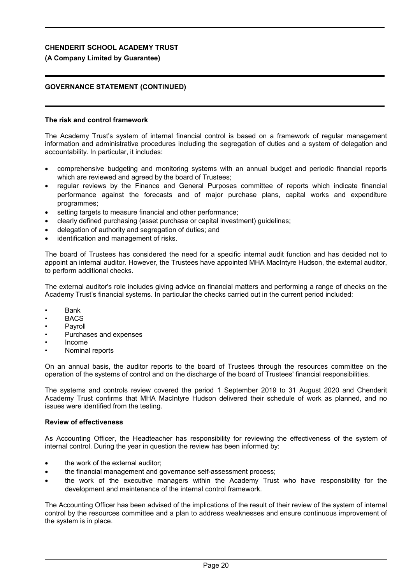### **(A Company Limited by Guarantee)**

## **GOVERNANCE STATEMENT (CONTINUED)**

### **The risk and control framework**

The Academy Trust's system of internal financial control is based on a framework of regular management information and administrative procedures including the segregation of duties and a system of delegation and accountability. In particular, it includes:

- comprehensive budgeting and monitoring systems with an annual budget and periodic financial reports which are reviewed and agreed by the board of Trustees;
- regular reviews by the Finance and General Purposes committee of reports which indicate financial performance against the forecasts and of major purchase plans, capital works and expenditure programmes;
- setting targets to measure financial and other performance;
- clearly defined purchasing (asset purchase or capital investment) guidelines;
- delegation of authority and segregation of duties; and
- identification and management of risks.

The board of Trustees has considered the need for a specific internal audit function and has decided not to appoint an internal auditor. However, the Trustees have appointed MHA MacIntyre Hudson, the external auditor, to perform additional checks.

The external auditor's role includes giving advice on financial matters and performing a range of checks on the Academy Trust's financial systems. In particular the checks carried out in the current period included:

- Bank
- BACS
- **Payroll**
- Purchases and expenses
- Income
- Nominal reports

On an annual basis, the auditor reports to the board of Trustees through the resources committee on the operation of the systems of control and on the discharge of the board of Trustees' financial responsibilities.

The systems and controls review covered the period 1 September 2019 to 31 August 2020 and Chenderit Academy Trust confirms that MHA MacIntyre Hudson delivered their schedule of work as planned, and no issues were identified from the testing.

#### **Review of effectiveness**

As Accounting Officer, the Headteacher has responsibility for reviewing the effectiveness of the system of internal control. During the year in question the review has been informed by:

- the work of the external auditor;
- the financial management and governance self-assessment process;
- the work of the executive managers within the Academy Trust who have responsibility for the development and maintenance of the internal control framework.

The Accounting Officer has been advised of the implications of the result of their review of the system of internal control by the resources committee and a plan to address weaknesses and ensure continuous improvement of the system is in place.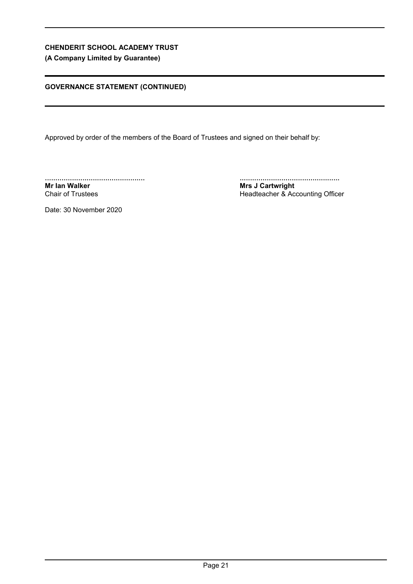# **CHENDERIT SCHOOL ACADEMY TRUST (A Company Limited by Guarantee)**

# **GOVERNANCE STATEMENT (CONTINUED)**

Approved by order of the members of the Board of Trustees and signed on their behalf by:

................................................

**Mr Ian Walker** Chair of Trustees

................................................ **Mrs J Cartwright**

Headteacher & Accounting Officer

Date: 30 November 2020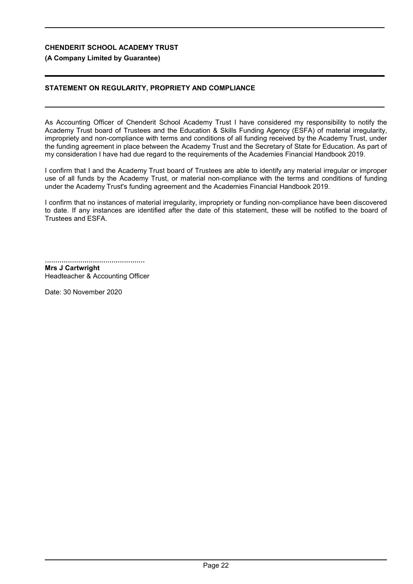# **(A Company Limited by Guarantee)**

## **STATEMENT ON REGULARITY, PROPRIETY AND COMPLIANCE**

As Accounting Officer of Chenderit School Academy Trust I have considered my responsibility to notify the Academy Trust board of Trustees and the Education & Skills Funding Agency (ESFA) of material irregularity, impropriety and non-compliance with terms and conditions of all funding received by the Academy Trust, under the funding agreement in place between the Academy Trust and the Secretary of State for Education. As part of my consideration I have had due regard to the requirements of the Academies Financial Handbook 2019.

I confirm that I and the Academy Trust board of Trustees are able to identify any material irregular or improper use of all funds by the Academy Trust, or material non-compliance with the terms and conditions of funding under the Academy Trust's funding agreement and the Academies Financial Handbook 2019.

I confirm that no instances of material irregularity, impropriety or funding non-compliance have been discovered to date. If any instances are identified after the date of this statement, these will be notified to the board of Trustees and ESFA.

................................................ **Mrs J Cartwright** Headteacher & Accounting Officer

Date: 30 November 2020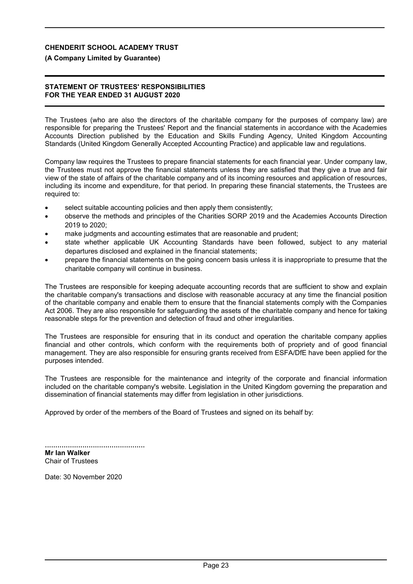### **(A Company Limited by Guarantee)**

#### **STATEMENT OF TRUSTEES' RESPONSIBILITIES FOR THE YEAR ENDED 31 AUGUST 2020**

The Trustees (who are also the directors of the charitable company for the purposes of company law) are responsible for preparing the Trustees' Report and the financial statements in accordance with the Academies Accounts Direction published by the Education and Skills Funding Agency, United Kingdom Accounting Standards (United Kingdom Generally Accepted Accounting Practice) and applicable law and regulations.

Company law requires the Trustees to prepare financial statements for each financial year. Under company law, the Trustees must not approve the financial statements unless they are satisfied that they give a true and fair view of the state of affairs of the charitable company and of its incoming resources and application of resources, including its income and expenditure, for that period. In preparing these financial statements, the Trustees are required to:

- select suitable accounting policies and then apply them consistently;
- observe the methods and principles of the Charities SORP 2019 and the Academies Accounts Direction 2019 to 2020;
- make judgments and accounting estimates that are reasonable and prudent;
- state whether applicable UK Accounting Standards have been followed, subject to any material departures disclosed and explained in the financial statements;
- prepare the financial statements on the going concern basis unless it is inappropriate to presume that the charitable company will continue in business.

The Trustees are responsible for keeping adequate accounting records that are sufficient to show and explain the charitable company's transactions and disclose with reasonable accuracy at any time the financial position of the charitable company and enable them to ensure that the financial statements comply with the Companies Act 2006. They are also responsible for safeguarding the assets of the charitable company and hence for taking reasonable steps for the prevention and detection of fraud and other irregularities.

The Trustees are responsible for ensuring that in its conduct and operation the charitable company applies financial and other controls, which conform with the requirements both of propriety and of good financial management. They are also responsible for ensuring grants received from ESFA/DfE have been applied for the purposes intended.

The Trustees are responsible for the maintenance and integrity of the corporate and financial information included on the charitable company's website. Legislation in the United Kingdom governing the preparation and dissemination of financial statements may differ from legislation in other jurisdictions.

Approved by order of the members of the Board of Trustees and signed on its behalf by:

................................................

**Mr Ian Walker** Chair of Trustees

Date: 30 November 2020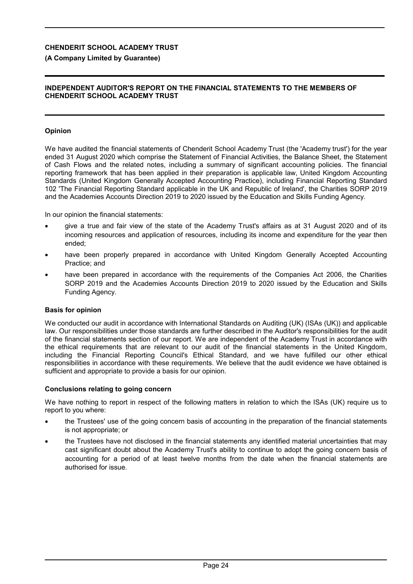### **(A Company Limited by Guarantee)**

### **INDEPENDENT AUDITOR'S REPORT ON THE FINANCIAL STATEMENTS TO THE MEMBERS OF CHENDERIT SCHOOL ACADEMY TRUST**

#### **Opinion**

We have audited the financial statements of Chenderit School Academy Trust (the 'Academy trust') for the year ended 31 August 2020 which comprise the Statement of Financial Activities, the Balance Sheet, the Statement of Cash Flows and the related notes, including a summary of significant accounting policies. The financial reporting framework that has been applied in their preparation is applicable law, United Kingdom Accounting Standards (United Kingdom Generally Accepted Accounting Practice), including Financial Reporting Standard 102 'The Financial Reporting Standard applicable in the UK and Republic of Ireland', the Charities SORP 2019 and the Academies Accounts Direction 2019 to 2020 issued by the Education and Skills Funding Agency.

In our opinion the financial statements:

- give a true and fair view of the state of the Academy Trust's affairs as at 31 August 2020 and of its incoming resources and application of resources, including its income and expenditure for the year then ended;
- have been properly prepared in accordance with United Kingdom Generally Accepted Accounting Practice; and
- have been prepared in accordance with the requirements of the Companies Act 2006, the Charities SORP 2019 and the Academies Accounts Direction 2019 to 2020 issued by the Education and Skills Funding Agency.

### **Basis for opinion**

We conducted our audit in accordance with International Standards on Auditing (UK) (ISAs (UK)) and applicable law. Our responsibilities under those standards are further described in the Auditor's responsibilities for the audit of the financial statements section of our report. We are independent of the Academy Trust in accordance with the ethical requirements that are relevant to our audit of the financial statements in the United Kingdom, including the Financial Reporting Council's Ethical Standard, and we have fulfilled our other ethical responsibilities in accordance with these requirements. We believe that the audit evidence we have obtained is sufficient and appropriate to provide a basis for our opinion.

#### **Conclusions relating to going concern**

We have nothing to report in respect of the following matters in relation to which the ISAs (UK) require us to report to you where:

- the Trustees' use of the going concern basis of accounting in the preparation of the financial statements is not appropriate; or
- the Trustees have not disclosed in the financial statements any identified material uncertainties that may cast significant doubt about the Academy Trust's ability to continue to adopt the going concern basis of accounting for a period of at least twelve months from the date when the financial statements are authorised for issue.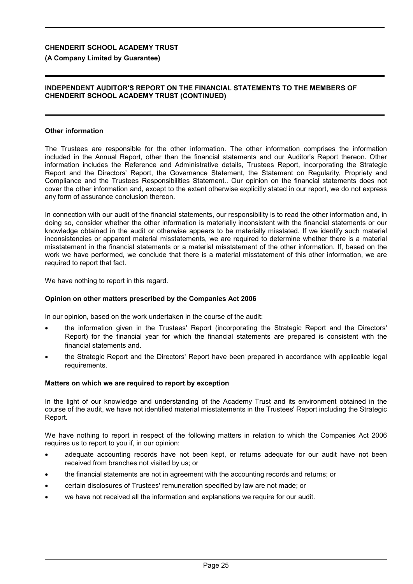### **(A Company Limited by Guarantee)**

### **INDEPENDENT AUDITOR'S REPORT ON THE FINANCIAL STATEMENTS TO THE MEMBERS OF CHENDERIT SCHOOL ACADEMY TRUST (CONTINUED)**

#### **Other information**

The Trustees are responsible for the other information. The other information comprises the information included in the Annual Report, other than the financial statements and our Auditor's Report thereon. Other information includes the Reference and Administrative details, Trustees Report, incorporating the Strategic Report and the Directors' Report, the Governance Statement, the Statement on Regularity, Propriety and Compliance and the Trustees Responsibilities Statement.. Our opinion on the financial statements does not cover the other information and, except to the extent otherwise explicitly stated in our report, we do not express any form of assurance conclusion thereon.

In connection with our audit of the financial statements, our responsibility is to read the other information and, in doing so, consider whether the other information is materially inconsistent with the financial statements or our knowledge obtained in the audit or otherwise appears to be materially misstated. If we identify such material inconsistencies or apparent material misstatements, we are required to determine whether there is a material misstatement in the financial statements or a material misstatement of the other information. If, based on the work we have performed, we conclude that there is a material misstatement of this other information, we are required to report that fact.

We have nothing to report in this regard.

### **Opinion on other matters prescribed by the Companies Act 2006**

In our opinion, based on the work undertaken in the course of the audit:

- the information given in the Trustees' Report (incorporating the Strategic Report and the Directors' Report) for the financial year for which the financial statements are prepared is consistent with the financial statements and.
- the Strategic Report and the Directors' Report have been prepared in accordance with applicable legal requirements.

#### **Matters on which we are required to report by exception**

In the light of our knowledge and understanding of the Academy Trust and its environment obtained in the course of the audit, we have not identified material misstatements in the Trustees' Report including the Strategic Report.

We have nothing to report in respect of the following matters in relation to which the Companies Act 2006 requires us to report to you if, in our opinion:

- adequate accounting records have not been kept, or returns adequate for our audit have not been received from branches not visited by us; or
- the financial statements are not in agreement with the accounting records and returns; or
- certain disclosures of Trustees' remuneration specified by law are not made; or
- we have not received all the information and explanations we require for our audit.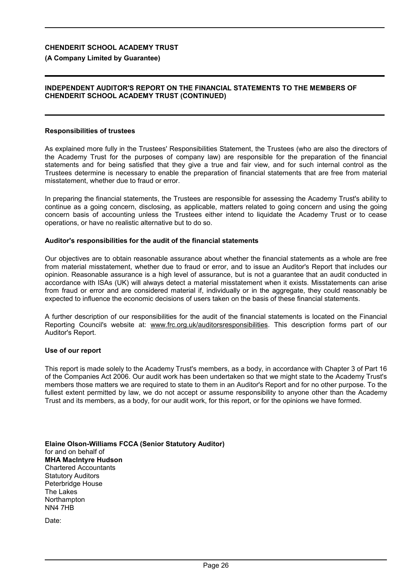**(A Company Limited by Guarantee)**

#### **INDEPENDENT AUDITOR'S REPORT ON THE FINANCIAL STATEMENTS TO THE MEMBERS OF CHENDERIT SCHOOL ACADEMY TRUST (CONTINUED)**

#### **Responsibilities of trustees**

As explained more fully in the Trustees' Responsibilities Statement, the Trustees (who are also the directors of the Academy Trust for the purposes of company law) are responsible for the preparation of the financial statements and for being satisfied that they give a true and fair view, and for such internal control as the Trustees determine is necessary to enable the preparation of financial statements that are free from material misstatement, whether due to fraud or error.

In preparing the financial statements, the Trustees are responsible for assessing the Academy Trust's ability to continue as a going concern, disclosing, as applicable, matters related to going concern and using the going concern basis of accounting unless the Trustees either intend to liquidate the Academy Trust or to cease operations, or have no realistic alternative but to do so.

#### **Auditor's responsibilities for the audit of the financial statements**

Our objectives are to obtain reasonable assurance about whether the financial statements as a whole are free from material misstatement, whether due to fraud or error, and to issue an Auditor's Report that includes our opinion. Reasonable assurance is a high level of assurance, but is not a guarantee that an audit conducted in accordance with ISAs (UK) will always detect a material misstatement when it exists. Misstatements can arise from fraud or error and are considered material if, individually or in the aggregate, they could reasonably be expected to influence the economic decisions of users taken on the basis of these financial statements.

A further description of our responsibilities for the audit of the financial statements is located on the Financial Reporting Council's website at: www.frc.org.uk/auditorsresponsibilities. This description forms part of our Auditor's Report.

#### **Use of our report**

This report is made solely to the Academy Trust's members, as a body, in accordance with Chapter 3 of Part 16 of the Companies Act 2006. Our audit work has been undertaken so that we might state to the Academy Trust's members those matters we are required to state to them in an Auditor's Report and for no other purpose. To the fullest extent permitted by law, we do not accept or assume responsibility to anyone other than the Academy Trust and its members, as a body, for our audit work, for this report, or for the opinions we have formed.

**Elaine Olson-Williams FCCA (Senior Statutory Auditor)** for and on behalf of **MHA MacIntyre Hudson** Chartered Accountants Statutory Auditors Peterbridge House The Lakes **Northampton** NN4 7HB

Date: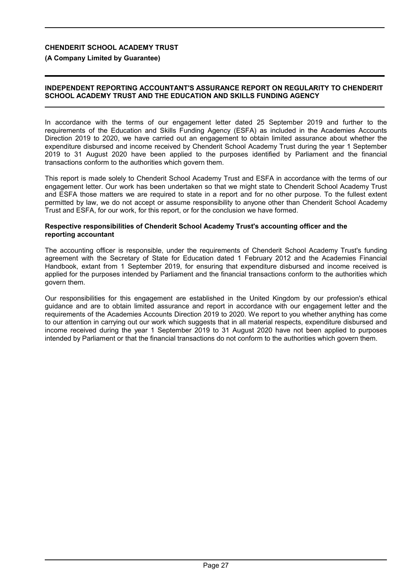### **(A Company Limited by Guarantee)**

### **INDEPENDENT REPORTING ACCOUNTANT'S ASSURANCE REPORT ON REGULARITY TO CHENDERIT SCHOOL ACADEMY TRUST AND THE EDUCATION AND SKILLS FUNDING AGENCY**

In accordance with the terms of our engagement letter dated 25 September 2019 and further to the requirements of the Education and Skills Funding Agency (ESFA) as included in the Academies Accounts Direction 2019 to 2020, we have carried out an engagement to obtain limited assurance about whether the expenditure disbursed and income received by Chenderit School Academy Trust during the year 1 September 2019 to 31 August 2020 have been applied to the purposes identified by Parliament and the financial transactions conform to the authorities which govern them.

This report is made solely to Chenderit School Academy Trust and ESFA in accordance with the terms of our engagement letter. Our work has been undertaken so that we might state to Chenderit School Academy Trust and ESFA those matters we are required to state in a report and for no other purpose. To the fullest extent permitted by law, we do not accept or assume responsibility to anyone other than Chenderit School Academy Trust and ESFA, for our work, for this report, or for the conclusion we have formed.

#### **Respective responsibilities of Chenderit School Academy Trust's accounting officer and the reporting accountant**

The accounting officer is responsible, under the requirements of Chenderit School Academy Trust's funding agreement with the Secretary of State for Education dated 1 February 2012 and the Academies Financial Handbook, extant from 1 September 2019, for ensuring that expenditure disbursed and income received is applied for the purposes intended by Parliament and the financial transactions conform to the authorities which govern them.

Our responsibilities for this engagement are established in the United Kingdom by our profession's ethical guidance and are to obtain limited assurance and report in accordance with our engagement letter and the requirements of the Academies Accounts Direction 2019 to 2020. We report to you whether anything has come to our attention in carrying out our work which suggests that in all material respects, expenditure disbursed and income received during the year 1 September 2019 to 31 August 2020 have not been applied to purposes intended by Parliament or that the financial transactions do not conform to the authorities which govern them.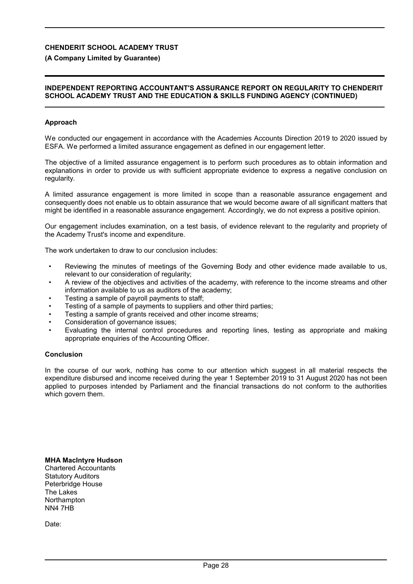### **(A Company Limited by Guarantee)**

### **INDEPENDENT REPORTING ACCOUNTANT'S ASSURANCE REPORT ON REGULARITY TO CHENDERIT SCHOOL ACADEMY TRUST AND THE EDUCATION & SKILLS FUNDING AGENCY (CONTINUED)**

#### **Approach**

We conducted our engagement in accordance with the Academies Accounts Direction 2019 to 2020 issued by ESFA. We performed a limited assurance engagement as defined in our engagement letter.

The objective of a limited assurance engagement is to perform such procedures as to obtain information and explanations in order to provide us with sufficient appropriate evidence to express a negative conclusion on regularity.

A limited assurance engagement is more limited in scope than a reasonable assurance engagement and consequently does not enable us to obtain assurance that we would become aware of all significant matters that might be identified in a reasonable assurance engagement. Accordingly, we do not express a positive opinion.

Our engagement includes examination, on a test basis, of evidence relevant to the regularity and propriety of the Academy Trust's income and expenditure.

The work undertaken to draw to our conclusion includes:

- Reviewing the minutes of meetings of the Governing Body and other evidence made available to us, relevant to our consideration of regularity;
- A review of the objectives and activities of the academy, with reference to the income streams and other information available to us as auditors of the academy;
- Testing a sample of payroll payments to staff;
- Testing of a sample of payments to suppliers and other third parties;
- Testing a sample of grants received and other income streams;
- Consideration of governance issues;
- Evaluating the internal control procedures and reporting lines, testing as appropriate and making appropriate enquiries of the Accounting Officer.

#### **Conclusion**

In the course of our work, nothing has come to our attention which suggest in all material respects the expenditure disbursed and income received during the year 1 September 2019 to 31 August 2020 has not been applied to purposes intended by Parliament and the financial transactions do not conform to the authorities which govern them.

#### **MHA MacIntyre Hudson**

Chartered Accountants Statutory Auditors Peterbridge House The Lakes Northampton NN4 7HB

Date: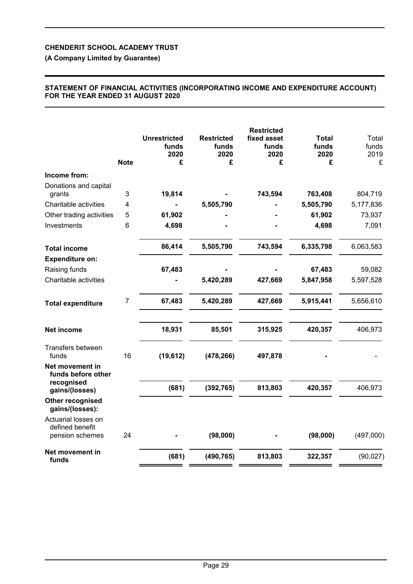**(A Company Limited by Guarantee)**

## **STATEMENT OF FINANCIAL ACTIVITIES (INCORPORATING INCOME AND EXPENDITURE ACCOUNT) FOR THE YEAR ENDED 31 AUGUST 2020**

|                                        | <b>Note</b> | <b>Unrestricted</b><br>funds<br>2020<br>£ | <b>Restricted</b><br>funds<br>2020<br>£ | <b>Restricted</b><br>fixed asset<br>funds<br>2020<br>£ | Total<br>funds<br>2020<br>£ | Total<br>funds<br>2019<br>£ |
|----------------------------------------|-------------|-------------------------------------------|-----------------------------------------|--------------------------------------------------------|-----------------------------|-----------------------------|
| Income from:                           |             |                                           |                                         |                                                        |                             |                             |
| Donations and capital<br>grants        | 3           | 19,814                                    |                                         | 743,594                                                | 763,408                     | 804,719                     |
| Charitable activities                  | 4           |                                           | 5,505,790                               |                                                        | 5,505,790                   | 5,177,836                   |
| Other trading activities               | 5           | 61,902                                    |                                         |                                                        | 61,902                      | 73,937                      |
| Investments                            | 6           | 4,698                                     |                                         |                                                        | 4,698                       | 7,091                       |
| <b>Total income</b>                    |             | 86,414                                    | 5,505,790                               | 743,594                                                | 6,335,798                   | 6,063,583                   |
| <b>Expenditure on:</b>                 |             |                                           |                                         |                                                        |                             |                             |
| Raising funds                          |             | 67,483                                    |                                         |                                                        | 67,483                      | 59,082                      |
| Charitable activities                  |             |                                           | 5,420,289                               | 427,669                                                | 5,847,958                   | 5,597,528                   |
| <b>Total expenditure</b>               | 7           | 67,483                                    | 5,420,289                               | 427,669                                                | 5,915,441                   | 5,656,610                   |
| Net income                             |             | 18,931                                    | 85,501                                  | 315,925                                                | 420,357                     | 406,973                     |
| Transfers between<br>funds             | 16          | (19, 612)                                 | (478, 266)                              | 497,878                                                |                             |                             |
| Net movement in<br>funds before other  |             |                                           |                                         |                                                        |                             |                             |
| recognised<br>gains/(losses)           |             | (681)                                     | (392, 765)                              | 813,803                                                | 420,357                     | 406,973                     |
| Other recognised<br>gains/(losses):    |             |                                           |                                         |                                                        |                             |                             |
| Actuarial losses on<br>defined benefit |             |                                           |                                         |                                                        |                             |                             |
| pension schemes                        | 24          |                                           | (98,000)                                |                                                        | (98,000)                    | (497,000)                   |
| Net movement in<br>funds               |             | (681)                                     | (490, 765)                              | 813,803                                                | 322,357                     | (90, 027)                   |
|                                        |             |                                           |                                         |                                                        |                             |                             |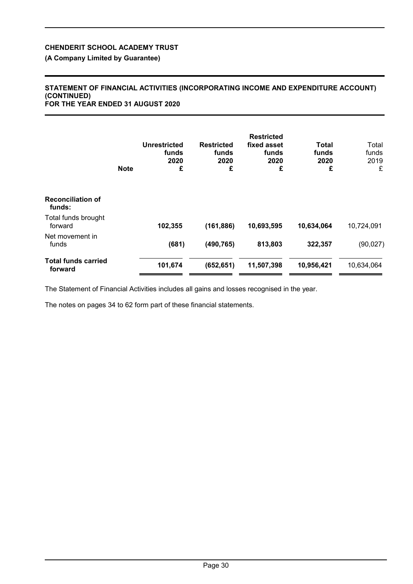**(A Company Limited by Guarantee)**

#### **STATEMENT OF FINANCIAL ACTIVITIES (INCORPORATING INCOME AND EXPENDITURE ACCOUNT) (CONTINUED) FOR THE YEAR ENDED 31 AUGUST 2020**

|                                       | <b>Note</b> | <b>Unrestricted</b><br>funds<br>2020<br>£ | <b>Restricted</b><br>funds<br>2020<br>£ | <b>Restricted</b><br>fixed asset<br>funds<br>2020<br>£ | Total<br>funds<br>2020<br>£ | Total<br>funds<br>2019<br>£ |
|---------------------------------------|-------------|-------------------------------------------|-----------------------------------------|--------------------------------------------------------|-----------------------------|-----------------------------|
| <b>Reconciliation of</b><br>funds:    |             |                                           |                                         |                                                        |                             |                             |
| Total funds brought<br>forward        |             | 102,355                                   | (161, 886)                              | 10,693,595                                             | 10,634,064                  | 10,724,091                  |
| Net movement in<br>funds              |             | (681)                                     | (490, 765)                              | 813,803                                                | 322,357                     | (90, 027)                   |
| <b>Total funds carried</b><br>forward |             | 101,674                                   | (652, 651)                              | 11,507,398                                             | 10,956,421                  | 10,634,064                  |

The Statement of Financial Activities includes all gains and losses recognised in the year.

The notes on pages 34 to 62 form part of these financial statements.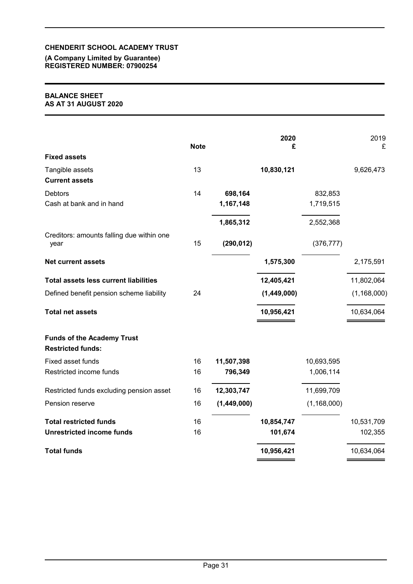### **(A Company Limited by Guarantee) REGISTERED NUMBER: 07900254**

### **BALANCE SHEET AS AT 31 AUGUST 2020**

|                                                               | <b>Note</b> |             | 2020<br>£   |               | 2019<br>£     |
|---------------------------------------------------------------|-------------|-------------|-------------|---------------|---------------|
| <b>Fixed assets</b>                                           |             |             |             |               |               |
| Tangible assets                                               | 13          |             | 10,830,121  |               | 9,626,473     |
| <b>Current assets</b>                                         |             |             |             |               |               |
| <b>Debtors</b>                                                | 14          | 698,164     |             | 832,853       |               |
| Cash at bank and in hand                                      |             | 1,167,148   |             | 1,719,515     |               |
|                                                               |             | 1,865,312   |             | 2,552,368     |               |
| Creditors: amounts falling due within one<br>year             | 15          | (290, 012)  |             | (376, 777)    |               |
| <b>Net current assets</b>                                     |             |             | 1,575,300   |               | 2,175,591     |
| <b>Total assets less current liabilities</b>                  |             |             | 12,405,421  |               | 11,802,064    |
| Defined benefit pension scheme liability                      | 24          |             | (1,449,000) |               | (1, 168, 000) |
| <b>Total net assets</b>                                       |             |             | 10,956,421  |               | 10,634,064    |
| <b>Funds of the Academy Trust</b><br><b>Restricted funds:</b> |             |             |             |               |               |
| Fixed asset funds                                             | 16          | 11,507,398  |             | 10,693,595    |               |
| Restricted income funds                                       | 16          | 796,349     |             | 1,006,114     |               |
| Restricted funds excluding pension asset                      | 16          | 12,303,747  |             | 11,699,709    |               |
| Pension reserve                                               | 16          | (1,449,000) |             | (1, 168, 000) |               |
| <b>Total restricted funds</b>                                 | 16          |             | 10,854,747  |               | 10,531,709    |
| <b>Unrestricted income funds</b>                              | 16          |             | 101,674     |               | 102,355       |
| <b>Total funds</b>                                            |             |             | 10,956,421  |               | 10,634,064    |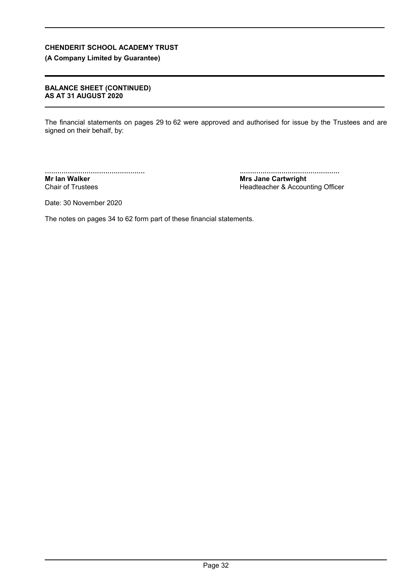# **(A Company Limited by Guarantee)**

#### **BALANCE SHEET (CONTINUED) AS AT 31 AUGUST 2020**

The financial statements on pages 29 to 62 were approved and authorised for issue by the Trustees and are signed on their behalf, by:

................................................ **Mr Ian Walker** Chair of Trustees

................................................ **Mrs Jane Cartwright** Headteacher & Accounting Officer

Date: 30 November 2020

The notes on pages 34 to 62 form part of these financial statements.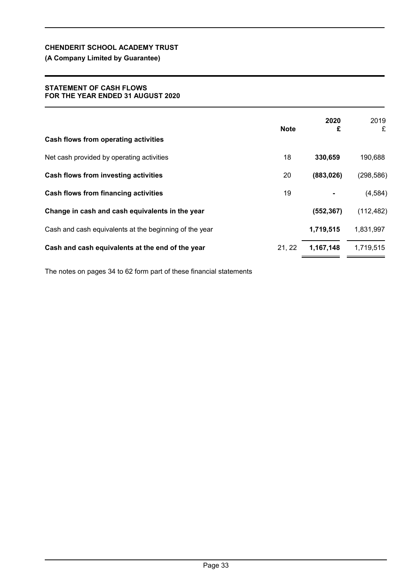# **(A Company Limited by Guarantee)**

#### **STATEMENT OF CASH FLOWS FOR THE YEAR ENDED 31 AUGUST 2020**

|                                                        | <b>Note</b> | 2020<br>£  | 2019<br>£  |
|--------------------------------------------------------|-------------|------------|------------|
| Cash flows from operating activities                   |             |            |            |
| Net cash provided by operating activities              | 18          | 330,659    | 190,688    |
| Cash flows from investing activities                   | 20          | (883, 026) | (298, 586) |
| <b>Cash flows from financing activities</b>            | 19          |            | (4, 584)   |
| Change in cash and cash equivalents in the year        |             | (552, 367) | (112, 482) |
| Cash and cash equivalents at the beginning of the year |             | 1,719,515  | 1,831,997  |
| Cash and cash equivalents at the end of the year       | 21, 22      | 1,167,148  | 1,719,515  |

The notes on pages 34 to 62 form part of these financial statements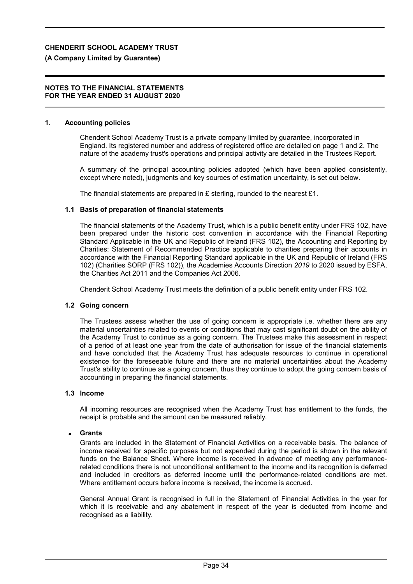### **(A Company Limited by Guarantee)**

#### **NOTES TO THE FINANCIAL STATEMENTS FOR THE YEAR ENDED 31 AUGUST 2020**

#### **1. Accounting policies**

Chenderit School Academy Trust is a private company limited by guarantee, incorporated in England. Its registered number and address of registered office are detailed on page 1 and 2. The nature of the academy trust's operations and principal activity are detailed in the Trustees Report.

A summary of the principal accounting policies adopted (which have been applied consistently, except where noted), judgments and key sources of estimation uncertainty, is set out below.

The financial statements are prepared in £ sterling, rounded to the nearest £1.

### **1.1 Basis of preparation of financial statements**

The financial statements of the Academy Trust, which is a public benefit entity under FRS 102, have been prepared under the historic cost convention in accordance with the Financial Reporting Standard Applicable in the UK and Republic of Ireland (FRS 102), the Accounting and Reporting by Charities: Statement of Recommended Practice applicable to charities preparing their accounts in accordance with the Financial Reporting Standard applicable in the UK and Republic of Ireland (FRS 102) (Charities SORP (FRS 102)), the Academies Accounts Direction *2019* to 2020 issued by ESFA, the Charities Act 2011 and the Companies Act 2006.

Chenderit School Academy Trust meets the definition of a public benefit entity under FRS 102.

### **1.2 Going concern**

The Trustees assess whether the use of going concern is appropriate i.e. whether there are any material uncertainties related to events or conditions that may cast significant doubt on the ability of the Academy Trust to continue as a going concern. The Trustees make this assessment in respect of a period of at least one year from the date of authorisation for issue of the financial statements and have concluded that the Academy Trust has adequate resources to continue in operational existence for the foreseeable future and there are no material uncertainties about the Academy Trust's ability to continue as a going concern, thus they continue to adopt the going concern basis of accounting in preparing the financial statements.

#### **1.3 Income**

All incoming resources are recognised when the Academy Trust has entitlement to the funds, the receipt is probable and the amount can be measured reliably.

### **Grants**

Grants are included in the Statement of Financial Activities on a receivable basis. The balance of income received for specific purposes but not expended during the period is shown in the relevant funds on the Balance Sheet. Where income is received in advance of meeting any performancerelated conditions there is not unconditional entitlement to the income and its recognition is deferred and included in creditors as deferred income until the performance-related conditions are met. Where entitlement occurs before income is received, the income is accrued.

General Annual Grant is recognised in full in the Statement of Financial Activities in the year for which it is receivable and any abatement in respect of the year is deducted from income and recognised as a liability.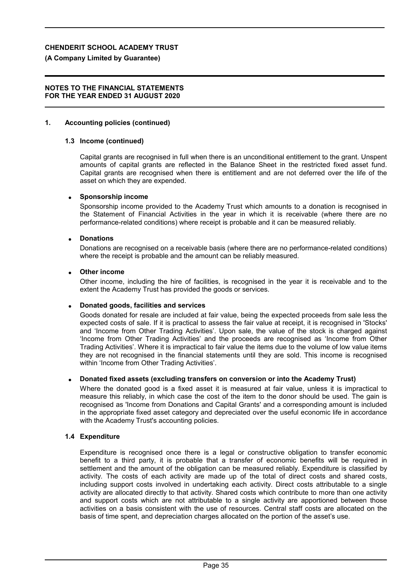### **(A Company Limited by Guarantee)**

#### **NOTES TO THE FINANCIAL STATEMENTS FOR THE YEAR ENDED 31 AUGUST 2020**

#### **1. Accounting policies (continued)**

#### **1.3 Income (continued)**

Capital grants are recognised in full when there is an unconditional entitlement to the grant. Unspent amounts of capital grants are reflected in the Balance Sheet in the restricted fixed asset fund. Capital grants are recognised when there is entitlement and are not deferred over the life of the asset on which they are expended.

#### **Sponsorship income**

Sponsorship income provided to the Academy Trust which amounts to a donation is recognised in the Statement of Financial Activities in the year in which it is receivable (where there are no performance-related conditions) where receipt is probable and it can be measured reliably.

#### **Donations**

Donations are recognised on a receivable basis (where there are no performance-related conditions) where the receipt is probable and the amount can be reliably measured.

#### **Other income**

Other income, including the hire of facilities, is recognised in the year it is receivable and to the extent the Academy Trust has provided the goods or services.

### **Donated goods, facilities and services**

Goods donated for resale are included at fair value, being the expected proceeds from sale less the expected costs of sale. If it is practical to assess the fair value at receipt, it is recognised in 'Stocks' and 'Income from Other Trading Activities'. Upon sale, the value of the stock is charged against 'Income from Other Trading Activities' and the proceeds are recognised as 'Income from Other Trading Activities'. Where it is impractical to fair value the items due to the volume of low value items they are not recognised in the financial statements until they are sold. This income is recognised within 'Income from Other Trading Activities'.

### **Donated fixed assets (excluding transfers on conversion or into the Academy Trust)**

Where the donated good is a fixed asset it is measured at fair value, unless it is impractical to measure this reliably, in which case the cost of the item to the donor should be used. The gain is recognised as 'Income from Donations and Capital Grants' and a corresponding amount is included in the appropriate fixed asset category and depreciated over the useful economic life in accordance with the Academy Trust's accounting policies.

#### **1.4 Expenditure**

Expenditure is recognised once there is a legal or constructive obligation to transfer economic benefit to a third party, it is probable that a transfer of economic benefits will be required in settlement and the amount of the obligation can be measured reliably. Expenditure is classified by activity. The costs of each activity are made up of the total of direct costs and shared costs, including support costs involved in undertaking each activity. Direct costs attributable to a single activity are allocated directly to that activity. Shared costs which contribute to more than one activity and support costs which are not attributable to a single activity are apportioned between those activities on a basis consistent with the use of resources. Central staff costs are allocated on the basis of time spent, and depreciation charges allocated on the portion of the asset's use.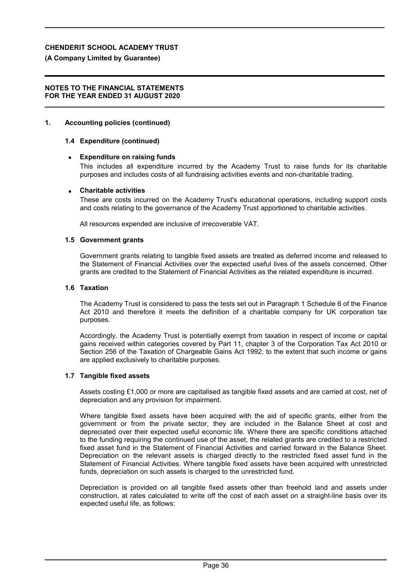#### **(A Company Limited by Guarantee)**

#### **NOTES TO THE FINANCIAL STATEMENTS FOR THE YEAR ENDED 31 AUGUST 2020**

#### **1. Accounting policies (continued)**

#### **1.4 Expenditure (continued)**

#### **Expenditure on raising funds**

This includes all expenditure incurred by the Academy Trust to raise funds for its charitable purposes and includes costs of all fundraising activities events and non-charitable trading.

#### **Charitable activities**

These are costs incurred on the Academy Trust's educational operations, including support costs and costs relating to the governance of the Academy Trust apportioned to charitable activities.

All resources expended are inclusive of irrecoverable VAT.

#### **1.5 Government grants**

Government grants relating to tangible fixed assets are treated as deferred income and released to the Statement of Financial Activities over the expected useful lives of the assets concerned. Other grants are credited to the Statement of Financial Activities as the related expenditure is incurred.

#### **1.6 Taxation**

The Academy Trust is considered to pass the tests set out in Paragraph 1 Schedule 6 of the Finance Act 2010 and therefore it meets the definition of a charitable company for UK corporation tax purposes.

Accordingly, the Academy Trust is potentially exempt from taxation in respect of income or capital gains received within categories covered by Part 11, chapter 3 of the Corporation Tax Act 2010 or Section 256 of the Taxation of Chargeable Gains Act 1992, to the extent that such income or gains are applied exclusively to charitable purposes.

#### **1.7 Tangible fixed assets**

Assets costing £1,000 or more are capitalised as tangible fixed assets and are carried at cost, net of depreciation and any provision for impairment.

Where tangible fixed assets have been acquired with the aid of specific grants, either from the government or from the private sector, they are included in the Balance Sheet at cost and depreciated over their expected useful economic life. Where there are specific conditions attached to the funding requiring the continued use of the asset, the related grants are credited to a restricted fixed asset fund in the Statement of Financial Activities and carried forward in the Balance Sheet. Depreciation on the relevant assets is charged directly to the restricted fixed asset fund in the Statement of Financial Activities. Where tangible fixed assets have been acquired with unrestricted funds, depreciation on such assets is charged to the unrestricted fund.

Depreciation is provided on all tangible fixed assets other than freehold land and assets under construction, at rates calculated to write off the cost of each asset on a straight-line basis over its expected useful life, as follows: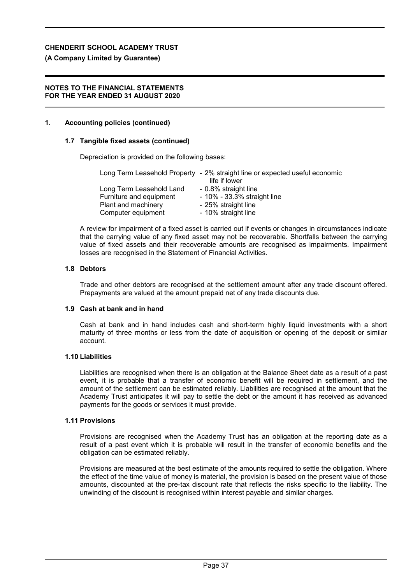# **(A Company Limited by Guarantee)**

## **NOTES TO THE FINANCIAL STATEMENTS FOR THE YEAR ENDED 31 AUGUST 2020**

# **1. Accounting policies (continued)**

# **1.7 Tangible fixed assets (continued)**

Depreciation is provided on the following bases:

|                          | Long Term Leasehold Property - 2% straight line or expected useful economic |
|--------------------------|-----------------------------------------------------------------------------|
|                          | life if lower                                                               |
| Long Term Leasehold Land | - 0.8% straight line                                                        |
| Furniture and equipment  | - 10% - 33.3% straight line                                                 |
| Plant and machinery      | - 25% straight line                                                         |
| Computer equipment       | - 10% straight line                                                         |

A review for impairment of a fixed asset is carried out if events or changes in circumstances indicate that the carrying value of any fixed asset may not be recoverable. Shortfalls between the carrying value of fixed assets and their recoverable amounts are recognised as impairments. Impairment losses are recognised in the Statement of Financial Activities.

### **1.8 Debtors**

Trade and other debtors are recognised at the settlement amount after any trade discount offered. Prepayments are valued at the amount prepaid net of any trade discounts due.

### **1.9 Cash at bank and in hand**

Cash at bank and in hand includes cash and short-term highly liquid investments with a short maturity of three months or less from the date of acquisition or opening of the deposit or similar account.

### **1.10 Liabilities**

Liabilities are recognised when there is an obligation at the Balance Sheet date as a result of a past event, it is probable that a transfer of economic benefit will be required in settlement, and the amount of the settlement can be estimated reliably. Liabilities are recognised at the amount that the Academy Trust anticipates it will pay to settle the debt or the amount it has received as advanced payments for the goods or services it must provide.

### **1.11 Provisions**

Provisions are recognised when the Academy Trust has an obligation at the reporting date as a result of a past event which it is probable will result in the transfer of economic benefits and the obligation can be estimated reliably.

Provisions are measured at the best estimate of the amounts required to settle the obligation. Where the effect of the time value of money is material, the provision is based on the present value of those amounts, discounted at the pre-tax discount rate that reflects the risks specific to the liability. The unwinding of the discount is recognised within interest payable and similar charges.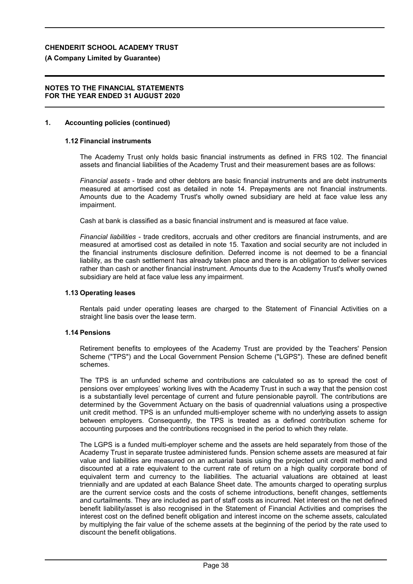### **(A Company Limited by Guarantee)**

#### **NOTES TO THE FINANCIAL STATEMENTS FOR THE YEAR ENDED 31 AUGUST 2020**

#### **1. Accounting policies (continued)**

### **1.12 Financial instruments**

The Academy Trust only holds basic financial instruments as defined in FRS 102. The financial assets and financial liabilities of the Academy Trust and their measurement bases are as follows:

*Financial assets* - trade and other debtors are basic financial instruments and are debt instruments measured at amortised cost as detailed in note 14. Prepayments are not financial instruments. Amounts due to the Academy Trust's wholly owned subsidiary are held at face value less any impairment.

Cash at bank is classified as a basic financial instrument and is measured at face value.

*Financial liabilities* - trade creditors, accruals and other creditors are financial instruments, and are measured at amortised cost as detailed in note 15. Taxation and social security are not included in the financial instruments disclosure definition. Deferred income is not deemed to be a financial liability, as the cash settlement has already taken place and there is an obligation to deliver services rather than cash or another financial instrument. Amounts due to the Academy Trust's wholly owned subsidiary are held at face value less any impairment.

#### **1.13 Operating leases**

Rentals paid under operating leases are charged to the Statement of Financial Activities on a straight line basis over the lease term.

### **1.14 Pensions**

Retirement benefits to employees of the Academy Trust are provided by the Teachers' Pension Scheme ("TPS") and the Local Government Pension Scheme ("LGPS"). These are defined benefit schemes.

The TPS is an unfunded scheme and contributions are calculated so as to spread the cost of pensions over employees' working lives with the Academy Trust in such a way that the pension cost is a substantially level percentage of current and future pensionable payroll. The contributions are determined by the Government Actuary on the basis of quadrennial valuations using a prospective unit credit method. TPS is an unfunded multi-employer scheme with no underlying assets to assign between employers. Consequently, the TPS is treated as a defined contribution scheme for accounting purposes and the contributions recognised in the period to which they relate.

The LGPS is a funded multi-employer scheme and the assets are held separately from those of the Academy Trust in separate trustee administered funds. Pension scheme assets are measured at fair value and liabilities are measured on an actuarial basis using the projected unit credit method and discounted at a rate equivalent to the current rate of return on a high quality corporate bond of equivalent term and currency to the liabilities. The actuarial valuations are obtained at least triennially and are updated at each Balance Sheet date. The amounts charged to operating surplus are the current service costs and the costs of scheme introductions, benefit changes, settlements and curtailments. They are included as part of staff costs as incurred. Net interest on the net defined benefit liability/asset is also recognised in the Statement of Financial Activities and comprises the interest cost on the defined benefit obligation and interest income on the scheme assets, calculated by multiplying the fair value of the scheme assets at the beginning of the period by the rate used to discount the benefit obligations.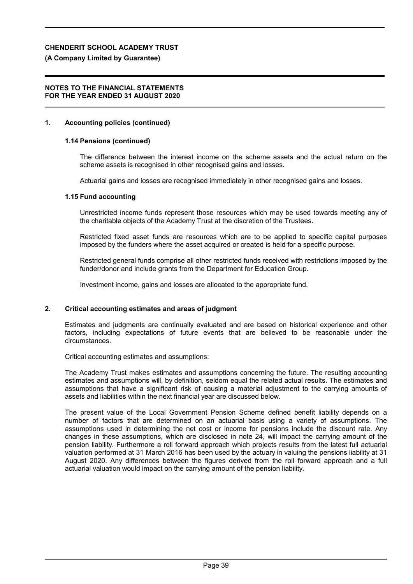# **(A Company Limited by Guarantee)**

### **NOTES TO THE FINANCIAL STATEMENTS FOR THE YEAR ENDED 31 AUGUST 2020**

# **1. Accounting policies (continued)**

# **1.14 Pensions (continued)**

The difference between the interest income on the scheme assets and the actual return on the scheme assets is recognised in other recognised gains and losses.

Actuarial gains and losses are recognised immediately in other recognised gains and losses.

# **1.15 Fund accounting**

Unrestricted income funds represent those resources which may be used towards meeting any of the charitable objects of the Academy Trust at the discretion of the Trustees.

Restricted fixed asset funds are resources which are to be applied to specific capital purposes imposed by the funders where the asset acquired or created is held for a specific purpose.

Restricted general funds comprise all other restricted funds received with restrictions imposed by the funder/donor and include grants from the Department for Education Group.

Investment income, gains and losses are allocated to the appropriate fund.

# **2. Critical accounting estimates and areas of judgment**

Estimates and judgments are continually evaluated and are based on historical experience and other factors, including expectations of future events that are believed to be reasonable under the circumstances.

Critical accounting estimates and assumptions:

The Academy Trust makes estimates and assumptions concerning the future. The resulting accounting estimates and assumptions will, by definition, seldom equal the related actual results. The estimates and assumptions that have a significant risk of causing a material adjustment to the carrying amounts of assets and liabilities within the next financial year are discussed below.

The present value of the Local Government Pension Scheme defined benefit liability depends on a number of factors that are determined on an actuarial basis using a variety of assumptions. The assumptions used in determining the net cost or income for pensions include the discount rate. Any changes in these assumptions, which are disclosed in note 24, will impact the carrying amount of the pension liability. Furthermore a roll forward approach which projects results from the latest full actuarial valuation performed at 31 March 2016 has been used by the actuary in valuing the pensions liability at 31 August 2020. Any differences between the figures derived from the roll forward approach and a full actuarial valuation would impact on the carrying amount of the pension liability.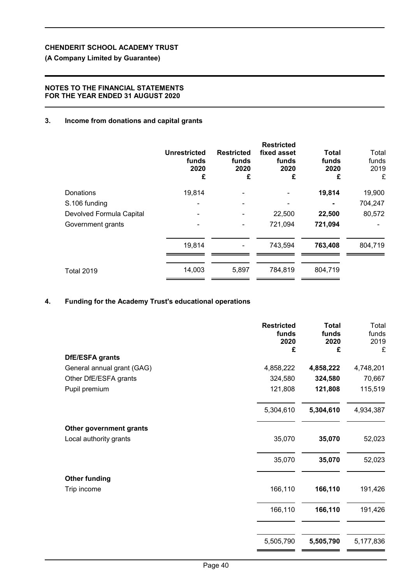# **(A Company Limited by Guarantee)**

## **NOTES TO THE FINANCIAL STATEMENTS FOR THE YEAR ENDED 31 AUGUST 2020**

## **3. Income from donations and capital grants**

|                          | <b>Unrestricted</b><br>funds<br>2020<br>£ | <b>Restricted</b><br>funds<br>2020<br>£ | <b>Restricted</b><br>fixed asset<br>funds<br>2020<br>£ | <b>Total</b><br>funds<br>2020<br>£ | Total<br>funds<br>2019<br>£ |
|--------------------------|-------------------------------------------|-----------------------------------------|--------------------------------------------------------|------------------------------------|-----------------------------|
| Donations                | 19,814                                    |                                         |                                                        | 19,814                             | 19,900                      |
| S.106 funding            |                                           |                                         |                                                        |                                    | 704,247                     |
| Devolved Formula Capital |                                           |                                         | 22,500                                                 | 22,500                             | 80,572                      |
| Government grants        |                                           |                                         | 721,094                                                | 721,094                            |                             |
|                          | 19,814                                    |                                         | 743,594                                                | 763,408                            | 804,719                     |
| Total 2019               | 14,003                                    | 5,897                                   | 784,819                                                | 804,719                            |                             |

# **4. Funding for the Academy Trust's educational operations**

| <b>Restricted</b><br>funds<br>2020 | <b>Total</b><br>funds<br>2020 | Total<br>funds<br>2019<br>£ |
|------------------------------------|-------------------------------|-----------------------------|
|                                    |                               |                             |
| 4,858,222                          | 4,858,222                     | 4,748,201                   |
| 324,580                            | 324,580                       | 70,667                      |
| 121,808                            | 121,808                       | 115,519                     |
| 5,304,610                          | 5,304,610                     | 4,934,387                   |
|                                    |                               |                             |
| 35,070                             | 35,070                        | 52,023                      |
| 35,070                             | 35,070                        | 52,023                      |
|                                    |                               |                             |
| 166,110                            | 166,110                       | 191,426                     |
| 166,110                            | 166,110                       | 191,426                     |
| 5,505,790                          | 5,505,790                     | 5,177,836                   |
|                                    | £                             | £                           |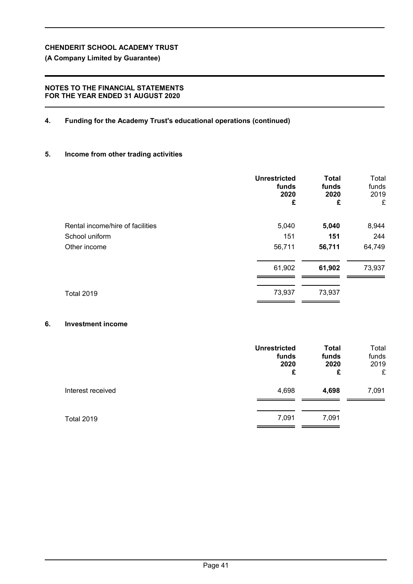**(A Company Limited by Guarantee)**

## **NOTES TO THE FINANCIAL STATEMENTS FOR THE YEAR ENDED 31 AUGUST 2020**

## **4. Funding for the Academy Trust's educational operations (continued)**

## **5. Income from other trading activities**

|                                  | <b>Unrestricted</b><br>funds<br>2020<br>£ | <b>Total</b><br>funds<br>2020<br>£ | Total<br>funds<br>2019<br>£ |
|----------------------------------|-------------------------------------------|------------------------------------|-----------------------------|
| Rental income/hire of facilities | 5,040                                     | 5,040                              | 8,944                       |
| School uniform                   | 151                                       | 151                                | 244                         |
| Other income                     | 56,711                                    | 56,711                             | 64,749                      |
|                                  | 61,902                                    | 61,902                             | 73,937                      |
| Total 2019                       | 73,937                                    | 73,937                             |                             |

## **6. Investment income**

|                   | <b>Unrestricted</b><br>funds<br>2020<br>£ | <b>Total</b><br>funds<br>2020<br>£ | Total<br>funds<br>2019<br>£ |
|-------------------|-------------------------------------------|------------------------------------|-----------------------------|
| Interest received | 4,698                                     | 4,698                              | 7,091                       |
| <b>Total 2019</b> | 7,091                                     | 7,091                              |                             |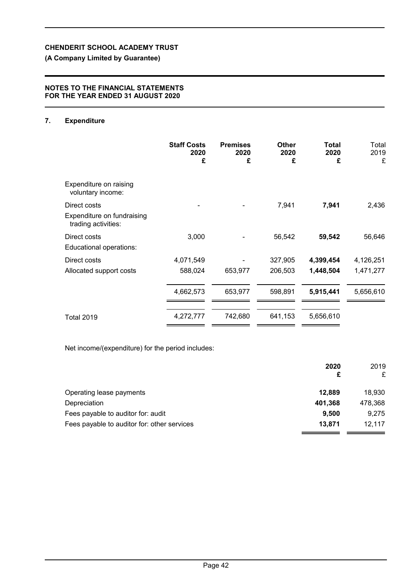# **(A Company Limited by Guarantee)**

### **NOTES TO THE FINANCIAL STATEMENTS FOR THE YEAR ENDED 31 AUGUST 2020**

## **7. Expenditure**

|                                                                   | <b>Staff Costs</b><br>2020<br>£ | <b>Premises</b><br>2020<br>£ | Other<br>2020<br>£ | <b>Total</b><br>2020<br>£ | Total<br>2019<br>£ |
|-------------------------------------------------------------------|---------------------------------|------------------------------|--------------------|---------------------------|--------------------|
| Expenditure on raising<br>voluntary income:                       |                                 |                              |                    |                           |                    |
| Direct costs<br>Expenditure on fundraising<br>trading activities: |                                 |                              | 7,941              | 7,941                     | 2,436              |
| Direct costs<br>Educational operations:                           | 3,000                           |                              | 56,542             | 59,542                    | 56,646             |
| Direct costs                                                      | 4,071,549                       |                              | 327,905            | 4,399,454                 | 4,126,251          |
| Allocated support costs                                           | 588,024                         | 653,977                      | 206,503            | 1,448,504                 | 1,471,277          |
|                                                                   | 4,662,573                       | 653,977                      | 598,891            | 5,915,441                 | 5,656,610          |
| <b>Total 2019</b>                                                 | 4,272,777                       | 742,680                      | 641,153            | 5,656,610                 |                    |

Net income/(expenditure) for the period includes:

|                                             | 2020<br>£ | 2019<br>£ |
|---------------------------------------------|-----------|-----------|
| Operating lease payments                    | 12.889    | 18,930    |
| Depreciation                                | 401,368   | 478,368   |
| Fees payable to auditor for: audit          | 9.500     | 9,275     |
| Fees payable to auditor for: other services | 13,871    | 12,117    |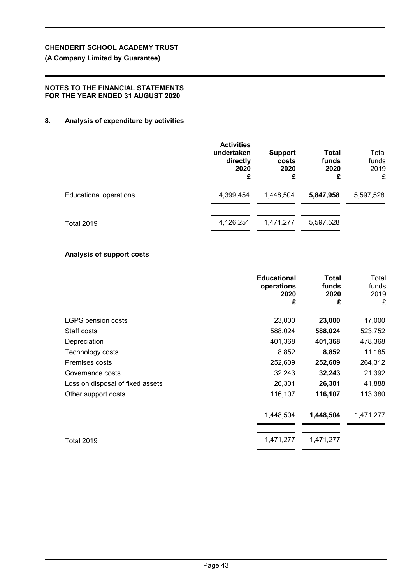**(A Company Limited by Guarantee)**

## **NOTES TO THE FINANCIAL STATEMENTS FOR THE YEAR ENDED 31 AUGUST 2020**

## **8. Analysis of expenditure by activities**

|                        | <b>Activities</b><br>undertaken<br><b>Support</b><br>directly<br>costs<br>2020<br>£ |           | <b>Total</b><br>funds<br>2020<br>£ | Total<br>funds<br>2019<br>£ |  |
|------------------------|-------------------------------------------------------------------------------------|-----------|------------------------------------|-----------------------------|--|
| Educational operations | 4,399,454                                                                           | 1,448,504 | 5,847,958                          | 5,597,528                   |  |
| <b>Total 2019</b>      | 4,126,251                                                                           | 1,471,277 | 5,597,528                          |                             |  |

## **Analysis of support costs**

|                                  | <b>Educational</b><br>operations<br>2020<br>£ | Total<br>funds<br>2020<br>£ | Total<br>funds<br>2019<br>£ |
|----------------------------------|-----------------------------------------------|-----------------------------|-----------------------------|
| <b>LGPS pension costs</b>        | 23,000                                        | 23,000                      | 17,000                      |
| Staff costs                      | 588,024                                       | 588,024                     | 523,752                     |
| Depreciation                     | 401,368                                       | 401,368                     | 478,368                     |
| Technology costs                 | 8,852                                         | 8,852                       | 11,185                      |
| Premises costs                   | 252,609                                       | 252,609                     | 264,312                     |
| Governance costs                 | 32,243                                        | 32,243                      | 21,392                      |
| Loss on disposal of fixed assets | 26,301                                        | 26,301                      | 41,888                      |
| Other support costs              | 116,107                                       | 116,107                     | 113,380                     |
|                                  | 1,448,504                                     | 1,448,504                   | 1,471,277                   |
| Total 2019                       | 1,471,277                                     | 1,471,277                   |                             |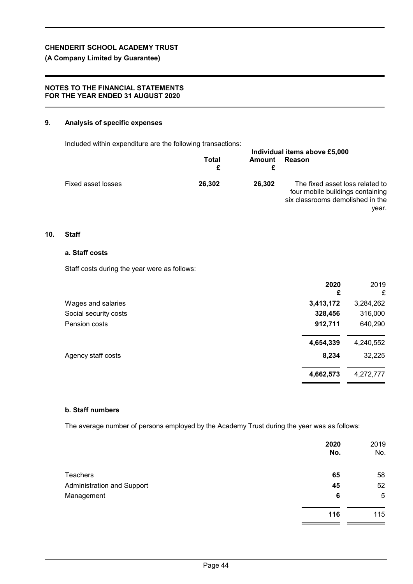# **(A Company Limited by Guarantee)**

### **NOTES TO THE FINANCIAL STATEMENTS FOR THE YEAR ENDED 31 AUGUST 2020**

### **9. Analysis of specific expenses**

Included within expenditure are the following transactions:

|                    | Individual items above £5,000 |        |                                                                                                                  |  |
|--------------------|-------------------------------|--------|------------------------------------------------------------------------------------------------------------------|--|
|                    | Total                         | Amount | Reason                                                                                                           |  |
| Fixed asset losses | 26,302                        | 26,302 | The fixed asset loss related to<br>four mobile buildings containing<br>six classrooms demolished in the<br>vear. |  |

#### **10. Staff**

#### **a. Staff costs**

Staff costs during the year were as follows:

|                       | 2020<br>£ | 2019<br>£ |
|-----------------------|-----------|-----------|
| Wages and salaries    | 3,413,172 | 3,284,262 |
| Social security costs | 328,456   | 316,000   |
| Pension costs         | 912,711   | 640,290   |
|                       | 4,654,339 | 4,240,552 |
| Agency staff costs    | 8,234     | 32,225    |
|                       | 4,662,573 | 4,272,777 |
|                       |           |           |

### **b. Staff numbers**

The average number of persons employed by the Academy Trust during the year was as follows:

|                            | 2020<br>No. | 2019<br>No. |
|----------------------------|-------------|-------------|
| Teachers                   | 65          | 58          |
| Administration and Support | 45          | 52          |
| Management                 | 6           | 5           |
|                            | 116         | 115         |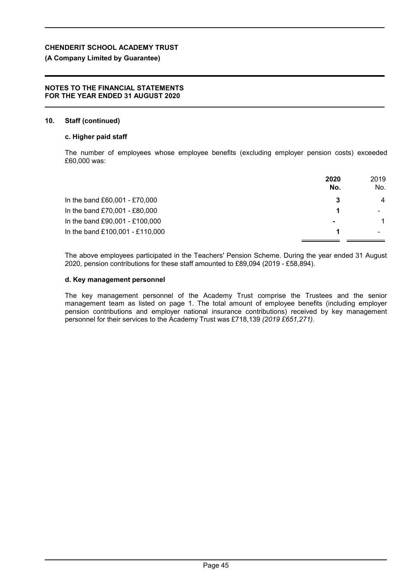# **(A Company Limited by Guarantee)**

### **NOTES TO THE FINANCIAL STATEMENTS FOR THE YEAR ENDED 31 AUGUST 2020**

# **10. Staff (continued)**

# **c. Higher paid staff**

The number of employees whose employee benefits (excluding employer pension costs) exceeded £60,000 was:

|                                 | 2020<br>No.    | 2019<br>No. |
|---------------------------------|----------------|-------------|
| In the band £60,001 - £70,000   | 3              | 4           |
| In the band £70,001 - £80,000   |                |             |
| In the band £90,001 - £100,000  | $\blacksquare$ |             |
| In the band £100,001 - £110,000 |                |             |

The above employees participated in the Teachers' Pension Scheme. During the year ended 31 August 2020, pension contributions for these staff amounted to £89,094 (2019 - £58,894).

# **d. Key management personnel**

The key management personnel of the Academy Trust comprise the Trustees and the senior management team as listed on page 1. The total amount of employee benefits (including employer pension contributions and employer national insurance contributions) received by key management personnel for their services to the Academy Trust was £718,139 *(2019 £651,271)*.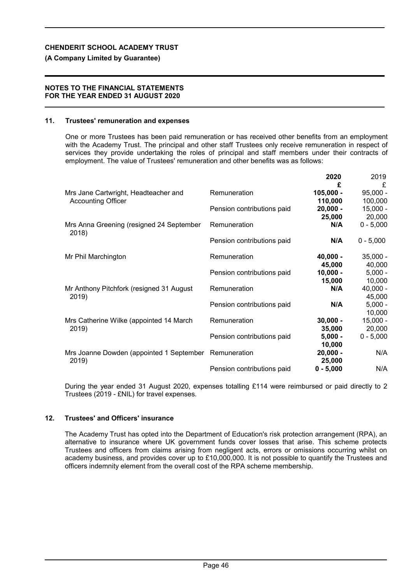# **(A Company Limited by Guarantee)**

## **NOTES TO THE FINANCIAL STATEMENTS FOR THE YEAR ENDED 31 AUGUST 2020**

# **11. Trustees' remuneration and expenses**

One or more Trustees has been paid remuneration or has received other benefits from an employment with the Academy Trust. The principal and other staff Trustees only receive remuneration in respect of services they provide undertaking the roles of principal and staff members under their contracts of employment. The value of Trustees' remuneration and other benefits was as follows:

|                                                                   |                            | 2020<br>£              | 2019<br>£             |
|-------------------------------------------------------------------|----------------------------|------------------------|-----------------------|
| Mrs Jane Cartwright, Headteacher and<br><b>Accounting Officer</b> | Remuneration               | $105,000 -$<br>110,000 | $95,000 -$<br>100,000 |
|                                                                   | Pension contributions paid | $20,000 -$<br>25,000   | $15,000 -$<br>20,000  |
| Mrs Anna Greening (resigned 24 September<br>2018)                 | Remuneration               | N/A                    | $0 - 5,000$           |
|                                                                   | Pension contributions paid | N/A                    | $0 - 5,000$           |
| Mr Phil Marchington                                               | Remuneration               | $40,000 -$<br>45,000   | $35,000 -$<br>40,000  |
|                                                                   | Pension contributions paid | $10,000 -$<br>15,000   | $5,000 -$<br>10,000   |
| Mr Anthony Pitchfork (resigned 31 August<br>2019)                 | Remuneration               | N/A                    | $40,000 -$<br>45,000  |
|                                                                   | Pension contributions paid | N/A                    | $5,000 -$<br>10,000   |
| Mrs Catherine Wilke (appointed 14 March<br>2019)                  | Remuneration               | $30,000 -$<br>35,000   | $15,000 -$<br>20,000  |
|                                                                   | Pension contributions paid | $5,000 -$<br>10,000    | $0 - 5,000$           |
| Mrs Joanne Dowden (appointed 1 September Remuneration<br>2019)    |                            | $20,000 -$<br>25,000   | N/A                   |
|                                                                   | Pension contributions paid | $0 - 5,000$            | N/A                   |

During the year ended 31 August 2020, expenses totalling £114 were reimbursed or paid directly to 2 Trustees (2019 - £NIL) for travel expenses.

# **12. Trustees' and Officers' insurance**

The Academy Trust has opted into the Department of Education's risk protection arrangement (RPA), an alternative to insurance where UK government funds cover losses that arise. This scheme protects Trustees and officers from claims arising from negligent acts, errors or omissions occurring whilst on academy business, and provides cover up to £10,000,000. It is not possible to quantify the Trustees and officers indemnity element from the overall cost of the RPA scheme membership.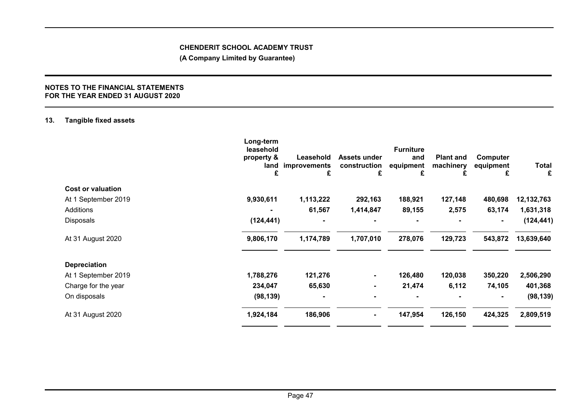**(A Company Limited by Guarantee)**

### **NOTES TO THE FINANCIAL STATEMENTS FOR THE YEAR ENDED 31 AUGUST 2020**

# **13. Tangible fixed assets**

|                          | Long-term<br>leasehold<br>property &<br>land<br>£ | Leasehold<br>improvements<br>£ | Assets under<br>construction<br>£ | <b>Furniture</b><br>and<br>equipment<br>£ | <b>Plant and</b><br>machinery<br>£ | Computer<br>equipment<br>£ | Total<br>£ |
|--------------------------|---------------------------------------------------|--------------------------------|-----------------------------------|-------------------------------------------|------------------------------------|----------------------------|------------|
| <b>Cost or valuation</b> |                                                   |                                |                                   |                                           |                                    |                            |            |
| At 1 September 2019      | 9,930,611                                         | 1,113,222                      | 292,163                           | 188,921                                   | 127,148                            | 480,698                    | 12,132,763 |
| <b>Additions</b>         |                                                   | 61,567                         | 1,414,847                         | 89,155                                    | 2,575                              | 63,174                     | 1,631,318  |
| <b>Disposals</b>         | (124, 441)                                        |                                |                                   |                                           |                                    |                            | (124, 441) |
| At 31 August 2020        | 9,806,170                                         | 1,174,789                      | 1,707,010                         | 278,076                                   | 129,723                            | 543,872                    | 13,639,640 |
| <b>Depreciation</b>      |                                                   |                                |                                   |                                           |                                    |                            |            |
| At 1 September 2019      | 1,788,276                                         | 121,276                        | ۰.                                | 126,480                                   | 120,038                            | 350,220                    | 2,506,290  |
| Charge for the year      | 234,047                                           | 65,630                         |                                   | 21,474                                    | 6,112                              | 74,105                     | 401,368    |
| On disposals             | (98, 139)                                         |                                |                                   |                                           |                                    |                            | (98, 139)  |
| At 31 August 2020        | 1,924,184                                         | 186,906                        | $\blacksquare$                    | 147,954                                   | 126,150                            | 424,325                    | 2,809,519  |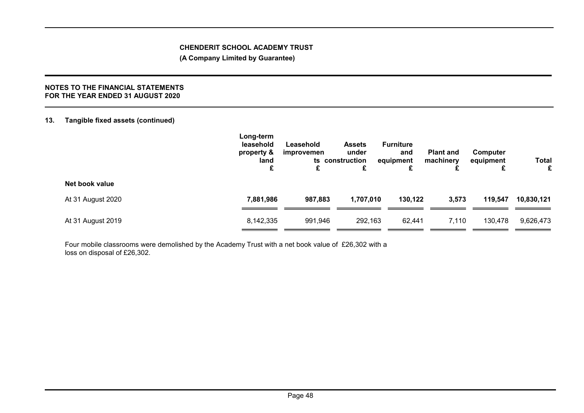**(A Company Limited by Guarantee)**

#### **NOTES TO THE FINANCIAL STATEMENTS FOR THE YEAR ENDED 31 AUGUST 2020**

## **13. Tangible fixed assets (continued)**

|                   | Long-term<br>leasehold<br>property &<br>land<br>£ | Leasehold<br>improvemen | <b>Assets</b><br>under<br>ts construction<br>£ | <b>Furniture</b><br>and<br>equipment<br>c | <b>Plant and</b><br>machinery | Computer<br>equipment<br>£ | Total<br>£ |
|-------------------|---------------------------------------------------|-------------------------|------------------------------------------------|-------------------------------------------|-------------------------------|----------------------------|------------|
| Net book value    |                                                   |                         |                                                |                                           |                               |                            |            |
| At 31 August 2020 | 7,881,986                                         | 987,883                 | 1,707,010                                      | 130,122                                   | 3,573                         | 119,547                    | 10,830,121 |
| At 31 August 2019 | 8,142,335                                         | 991,946                 | 292,163                                        | 62,441                                    | 7,110                         | 130,478                    | 9,626,473  |

Four mobile classrooms were demolished by the Academy Trust with a net book value of £26,302 with a loss on disposal of £26,302.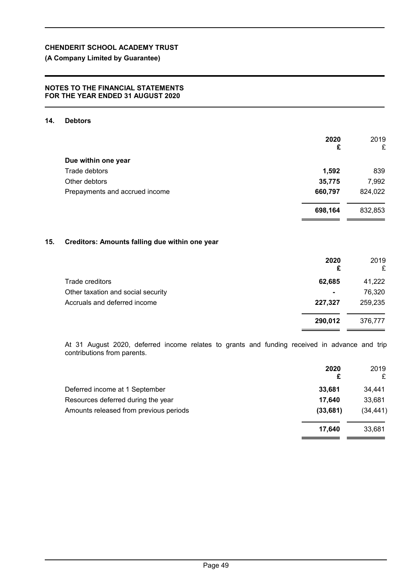# **(A Company Limited by Guarantee)**

### **NOTES TO THE FINANCIAL STATEMENTS FOR THE YEAR ENDED 31 AUGUST 2020**

#### **14. Debtors**

|     |                                                | 2020<br>£ | 2019<br>£ |
|-----|------------------------------------------------|-----------|-----------|
|     | Due within one year                            |           |           |
|     | Trade debtors                                  | 1,592     | 839       |
|     | Other debtors                                  | 35,775    | 7,992     |
|     | Prepayments and accrued income                 | 660,797   | 824,022   |
|     |                                                | 698,164   | 832,853   |
| 15. | Creditors: Amounts falling due within one year |           |           |

|                                    | 2020<br>£      | 2019<br>£ |
|------------------------------------|----------------|-----------|
| Trade creditors                    | 62,685         | 41,222    |
| Other taxation and social security | $\blacksquare$ | 76,320    |
| Accruals and deferred income       | 227,327        | 259,235   |
|                                    | 290,012        | 376,777   |

At 31 August 2020, deferred income relates to grants and funding received in advance and trip contributions from parents.

|                                        | 2020<br>£ | 2019<br>£ |
|----------------------------------------|-----------|-----------|
| Deferred income at 1 September         | 33,681    | 34,441    |
| Resources deferred during the year     | 17.640    | 33,681    |
| Amounts released from previous periods | (33, 681) | (34, 441) |
|                                        | 17.640    | 33,681    |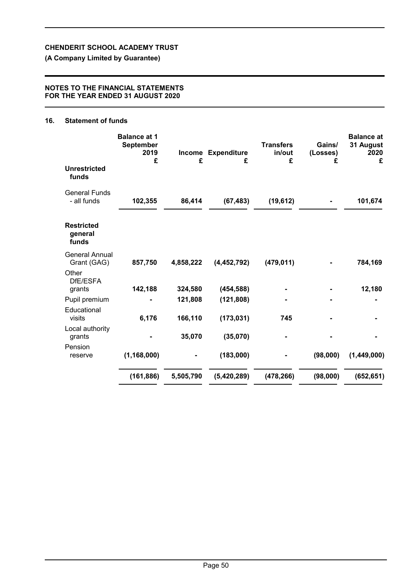**(A Company Limited by Guarantee)**

## **NOTES TO THE FINANCIAL STATEMENTS FOR THE YEAR ENDED 31 AUGUST 2020**

# **16. Statement of funds**

|                                       | <b>Balance at 1</b><br>September<br>2019<br>£ | £         | Income Expenditure<br>£ | <b>Transfers</b><br>in/out<br>£ | Gains/<br>(Losses)<br>£ | <b>Balance at</b><br>31 August<br>2020<br>£ |
|---------------------------------------|-----------------------------------------------|-----------|-------------------------|---------------------------------|-------------------------|---------------------------------------------|
| <b>Unrestricted</b><br>funds          |                                               |           |                         |                                 |                         |                                             |
| <b>General Funds</b><br>- all funds   | 102,355                                       | 86,414    | (67, 483)               | (19, 612)                       |                         | 101,674                                     |
| <b>Restricted</b><br>general<br>funds |                                               |           |                         |                                 |                         |                                             |
| <b>General Annual</b><br>Grant (GAG)  | 857,750                                       | 4,858,222 | (4, 452, 792)           | (479, 011)                      |                         | 784,169                                     |
| Other<br>DfE/ESFA                     |                                               |           |                         |                                 |                         |                                             |
| grants                                | 142,188                                       | 324,580   | (454, 588)              |                                 |                         | 12,180                                      |
| Pupil premium                         |                                               | 121,808   | (121, 808)              |                                 |                         |                                             |
| Educational<br>visits                 | 6,176                                         | 166,110   | (173, 031)              | 745                             |                         |                                             |
| Local authority<br>grants             |                                               | 35,070    | (35,070)                |                                 |                         |                                             |
| Pension<br>reserve                    | (1, 168, 000)                                 |           | (183,000)               |                                 | (98,000)                | (1,449,000)                                 |
|                                       | (161, 886)                                    | 5,505,790 | (5,420,289)             | (478, 266)                      | (98,000)                | (652, 651)                                  |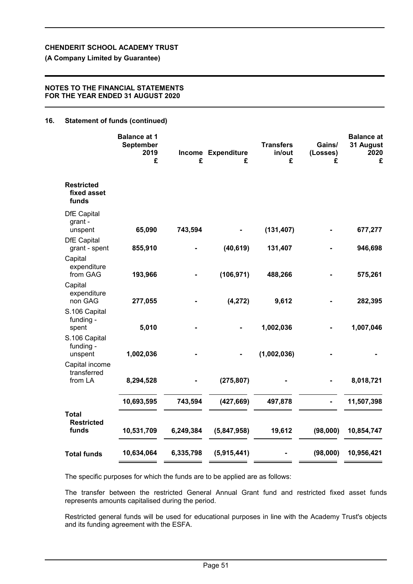**(A Company Limited by Guarantee)**

### **NOTES TO THE FINANCIAL STATEMENTS FOR THE YEAR ENDED 31 AUGUST 2020**

# **16. Statement of funds (continued)**

|                                            | <b>Balance at 1</b><br><b>September</b><br>2019<br>£ | £         | Income Expenditure<br>£ | <b>Transfers</b><br>in/out<br>£ | Gains/<br>(Losses)<br>£ | <b>Balance at</b><br>31 August<br>2020<br>£ |
|--------------------------------------------|------------------------------------------------------|-----------|-------------------------|---------------------------------|-------------------------|---------------------------------------------|
| <b>Restricted</b><br>fixed asset<br>funds  |                                                      |           |                         |                                 |                         |                                             |
| <b>DfE</b> Capital<br>grant -<br>unspent   | 65,090                                               | 743,594   |                         | (131, 407)                      |                         | 677,277                                     |
| <b>DfE Capital</b><br>grant - spent        | 855,910                                              |           | (40, 619)               | 131,407                         |                         | 946,698                                     |
| Capital<br>expenditure<br>from GAG         | 193,966                                              |           | (106, 971)              | 488,266                         |                         | 575,261                                     |
| Capital<br>expenditure<br>non GAG          | 277,055                                              |           | (4, 272)                | 9,612                           |                         | 282,395                                     |
| S.106 Capital<br>funding -<br>spent        | 5,010                                                |           |                         | 1,002,036                       |                         | 1,007,046                                   |
| S.106 Capital<br>funding -<br>unspent      | 1,002,036                                            |           |                         | (1,002,036)                     |                         |                                             |
| Capital income<br>transferred<br>from LA   | 8,294,528                                            |           | (275, 807)              |                                 |                         | 8,018,721                                   |
|                                            | 10,693,595                                           | 743,594   | (427, 669)              | 497,878                         |                         | 11,507,398                                  |
| <b>Total</b><br><b>Restricted</b><br>funds | 10,531,709                                           | 6,249,384 | (5,847,958)             | 19,612                          | (98,000)                | 10,854,747                                  |
| <b>Total funds</b>                         | 10,634,064                                           | 6,335,798 | (5,915,441)             |                                 | (98,000)                | 10,956,421                                  |

The specific purposes for which the funds are to be applied are as follows:

The transfer between the restricted General Annual Grant fund and restricted fixed asset funds represents amounts capitalised during the period.

Restricted general funds will be used for educational purposes in line with the Academy Trust's objects and its funding agreement with the ESFA.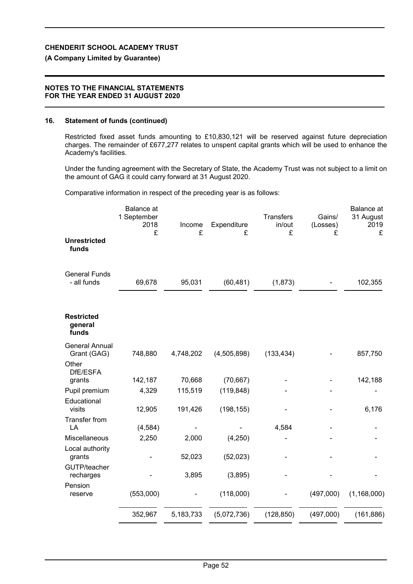# **(A Company Limited by Guarantee)**

### **NOTES TO THE FINANCIAL STATEMENTS FOR THE YEAR ENDED 31 AUGUST 2020**

# **16. Statement of funds (continued)**

Restricted fixed asset funds amounting to £10,830,121 will be reserved against future depreciation charges. The remainder of £677,277 relates to unspent capital grants which will be used to enhance the Academy's facilities.

Under the funding agreement with the Secretary of State, the Academy Trust was not subject to a limit on the amount of GAG it could carry forward at 31 August 2020.

Comparative information in respect of the preceding year is as follows:

|                                                           | Balance at<br>1 September<br>2018<br>£ | Income<br>£ | Expenditure<br>£ | <b>Transfers</b><br>in/out<br>£ | Gains/<br>(Losses)<br>£ | Balance at<br>31 August<br>2019<br>£ |
|-----------------------------------------------------------|----------------------------------------|-------------|------------------|---------------------------------|-------------------------|--------------------------------------|
| <b>Unrestricted</b><br>funds                              |                                        |             |                  |                                 |                         |                                      |
| <b>General Funds</b><br>- all funds                       | 69,678                                 | 95,031      | (60, 481)        | (1, 873)                        |                         | 102,355                              |
| <b>Restricted</b><br>general<br>funds                     |                                        |             |                  |                                 |                         |                                      |
| <b>General Annual</b><br>Grant (GAG)<br>Other<br>DfE/ESFA | 748,880                                | 4,748,202   | (4,505,898)      | (133, 434)                      |                         | 857,750                              |
| grants                                                    | 142,187                                | 70,668      | (70, 667)        |                                 |                         | 142,188                              |
| Pupil premium                                             | 4,329                                  | 115,519     | (119, 848)       |                                 |                         |                                      |
| Educational<br>visits                                     | 12,905                                 | 191,426     | (198, 155)       |                                 |                         | 6,176                                |
| <b>Transfer from</b><br>LA                                | (4, 584)                               |             |                  | 4,584                           |                         |                                      |
| Miscellaneous                                             | 2,250                                  | 2,000       | (4,250)          |                                 |                         |                                      |
| Local authority<br>grants                                 |                                        | 52,023      | (52,023)         |                                 |                         |                                      |
| GUTP/teacher<br>recharges                                 |                                        | 3,895       | (3,895)          |                                 |                         |                                      |
| Pension<br>reserve                                        | (553,000)                              |             | (118,000)        |                                 | (497,000)               | (1, 168, 000)                        |
|                                                           | 352,967                                | 5,183,733   | (5,072,736)      | (128, 850)                      | (497,000)               | (161, 886)                           |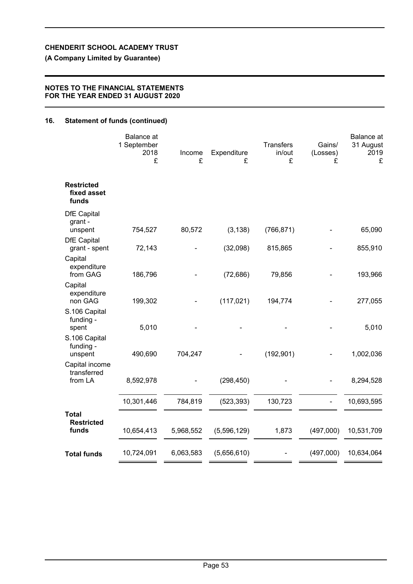**(A Company Limited by Guarantee)**

## **NOTES TO THE FINANCIAL STATEMENTS FOR THE YEAR ENDED 31 AUGUST 2020**

# **16. Statement of funds (continued)**

|                                            | Balance at<br>1 September<br>2018<br>£ | Income<br>£ | Expenditure<br>£ | <b>Transfers</b><br>in/out<br>£ | Gains/<br>(Losses)<br>£ | Balance at<br>31 August<br>2019<br>£ |
|--------------------------------------------|----------------------------------------|-------------|------------------|---------------------------------|-------------------------|--------------------------------------|
| <b>Restricted</b><br>fixed asset<br>funds  |                                        |             |                  |                                 |                         |                                      |
| <b>DfE</b> Capital<br>grant -              |                                        |             |                  |                                 |                         |                                      |
| unspent                                    | 754,527                                | 80,572      | (3, 138)         | (766, 871)                      |                         | 65,090                               |
| <b>DfE</b> Capital<br>grant - spent        | 72,143                                 |             | (32,098)         | 815,865                         |                         | 855,910                              |
| Capital<br>expenditure<br>from GAG         | 186,796                                |             | (72, 686)        | 79,856                          |                         | 193,966                              |
| Capital                                    |                                        |             |                  |                                 |                         |                                      |
| expenditure<br>non GAG                     | 199,302                                |             | (117, 021)       | 194,774                         |                         | 277,055                              |
| S.106 Capital<br>funding -<br>spent        | 5,010                                  |             |                  |                                 |                         | 5,010                                |
| S.106 Capital<br>funding -<br>unspent      | 490,690                                | 704,247     |                  | (192, 901)                      |                         | 1,002,036                            |
| Capital income<br>transferred              |                                        |             |                  |                                 |                         |                                      |
| from LA                                    | 8,592,978                              |             | (298, 450)       |                                 |                         | 8,294,528                            |
|                                            | 10,301,446                             | 784,819     | (523, 393)       | 130,723                         |                         | 10,693,595                           |
| <b>Total</b><br><b>Restricted</b><br>funds | 10,654,413                             | 5,968,552   | (5,596,129)      | 1,873                           | (497,000)               | 10,531,709                           |
| <b>Total funds</b>                         | 10,724,091                             | 6,063,583   | (5,656,610)      |                                 | (497,000)               | 10,634,064                           |
|                                            |                                        |             |                  |                                 |                         |                                      |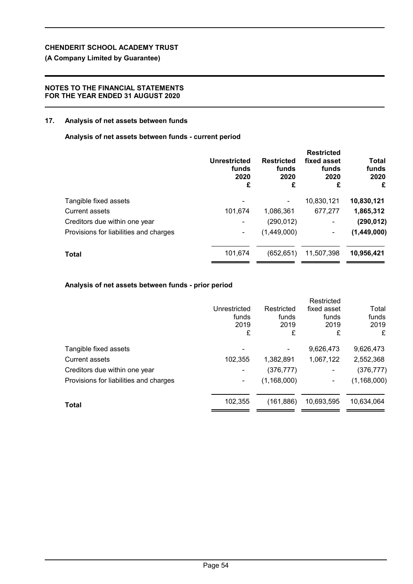# **(A Company Limited by Guarantee)**

## **NOTES TO THE FINANCIAL STATEMENTS FOR THE YEAR ENDED 31 AUGUST 2020**

### **17. Analysis of net assets between funds**

## **Analysis of net assets between funds - current period**

|                                        | Unrestricted<br>funds<br>2020<br>£ | <b>Restricted</b><br>funds<br>2020<br>£ | <b>Restricted</b><br>fixed asset<br>funds<br>2020<br>£ | <b>Total</b><br>funds<br>2020<br>£ |
|----------------------------------------|------------------------------------|-----------------------------------------|--------------------------------------------------------|------------------------------------|
| Tangible fixed assets                  |                                    |                                         | 10,830,121                                             | 10,830,121                         |
| <b>Current assets</b>                  | 101,674                            | 1,086,361                               | 677,277                                                | 1,865,312                          |
| Creditors due within one year          | ۰                                  | (290, 012)                              | ۰                                                      | (290, 012)                         |
| Provisions for liabilities and charges | ۰                                  | (1,449,000)                             | ۰                                                      | (1,449,000)                        |
| <b>Total</b>                           | 101,674                            | (652,651)                               | 11,507,398                                             | 10,956,421                         |
|                                        |                                    |                                         |                                                        |                                    |

## **Analysis of net assets between funds - prior period**

|                                        |                |               | Restricted  |               |
|----------------------------------------|----------------|---------------|-------------|---------------|
|                                        | Unrestricted   | Restricted    | fixed asset | Total         |
|                                        | funds          | funds         | funds       | funds         |
|                                        | 2019           | 2019          | 2019        | 2019          |
|                                        | £              | £             | £           | £             |
| Tangible fixed assets                  | ۰              |               | 9,626,473   | 9,626,473     |
| <b>Current assets</b>                  | 102,355        | 1,382,891     | 1,067,122   | 2,552,368     |
| Creditors due within one year          | ۰              | (376, 777)    | ۰           | (376, 777)    |
| Provisions for liabilities and charges | $\blacksquare$ | (1, 168, 000) | -           | (1, 168, 000) |
| Total                                  | 102,355        | (161, 886)    | 10,693,595  | 10,634,064    |
|                                        |                |               |             |               |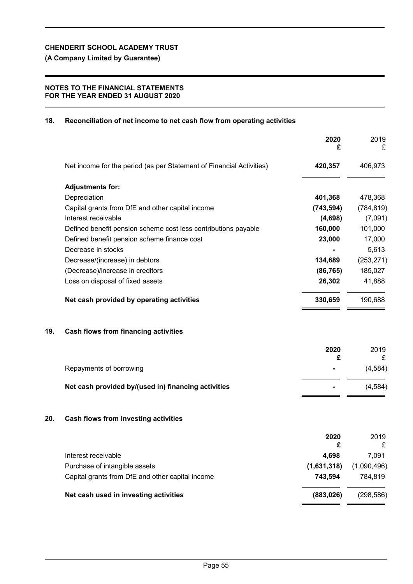**(A Company Limited by Guarantee)**

## **NOTES TO THE FINANCIAL STATEMENTS FOR THE YEAR ENDED 31 AUGUST 2020**

## **18. Reconciliation of net income to net cash flow from operating activities**

|     |                                                                      | 2020<br>£   | 2019<br>£   |
|-----|----------------------------------------------------------------------|-------------|-------------|
|     | Net income for the period (as per Statement of Financial Activities) | 420,357     | 406,973     |
|     | <b>Adjustments for:</b>                                              |             |             |
|     | Depreciation                                                         | 401,368     | 478,368     |
|     | Capital grants from DfE and other capital income                     | (743, 594)  | (784, 819)  |
|     | Interest receivable                                                  | (4,698)     | (7,091)     |
|     | Defined benefit pension scheme cost less contributions payable       | 160,000     | 101,000     |
|     | Defined benefit pension scheme finance cost                          | 23,000      | 17,000      |
|     | Decrease in stocks                                                   |             | 5,613       |
|     | Decrease/(increase) in debtors                                       | 134,689     | (253, 271)  |
|     | (Decrease)/increase in creditors                                     | (86, 765)   | 185,027     |
|     | Loss on disposal of fixed assets                                     | 26,302      | 41,888      |
|     | Net cash provided by operating activities                            | 330,659     | 190,688     |
| 19. | <b>Cash flows from financing activities</b>                          |             |             |
|     |                                                                      | 2020        | 2019<br>£   |
|     | Repayments of borrowing                                              | £           | (4, 584)    |
|     |                                                                      |             |             |
|     | Net cash provided by/(used in) financing activities                  |             | (4, 584)    |
| 20. | Cash flows from investing activities                                 |             |             |
|     |                                                                      | 2020<br>£   | 2019<br>£   |
|     | Interest receivable                                                  | 4,698       | 7,091       |
|     | Purchase of intangible assets                                        | (1,631,318) | (1,090,496) |
|     | Capital grants from DfE and other capital income                     | 743,594     | 784,819     |
|     | Net cash used in investing activities                                | (883, 026)  | (298, 586)  |
|     |                                                                      |             |             |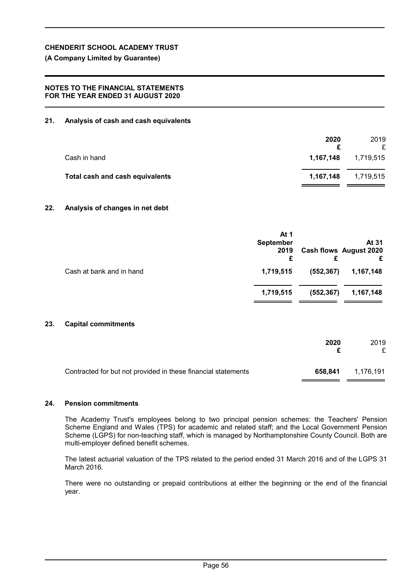**(A Company Limited by Guarantee)**

### **NOTES TO THE FINANCIAL STATEMENTS FOR THE YEAR ENDED 31 AUGUST 2020**

## **21. Analysis of cash and cash equivalents**

| 2020                | 2019<br>£ |
|---------------------|-----------|
| 1,167,148 1,719,515 |           |
| 1,167,148           | 1,719,515 |
|                     |           |

## **22. Analysis of changes in net debt**

|     |                                                               | At $1$<br><b>September</b><br>2019<br>£ | £          | At 31<br>Cash flows August 2020<br>£ |
|-----|---------------------------------------------------------------|-----------------------------------------|------------|--------------------------------------|
|     | Cash at bank and in hand                                      | 1,719,515                               | (552, 367) | 1,167,148                            |
|     |                                                               | 1,719,515                               | (552, 367) | 1,167,148                            |
| 23. | <b>Capital commitments</b>                                    |                                         |            |                                      |
|     |                                                               |                                         | 2020<br>£  | 2019<br>£                            |
|     | Contracted for but not provided in these financial statements |                                         | 658,841    | 1,176,191                            |

### **24. Pension commitments**

The Academy Trust's employees belong to two principal pension schemes: the Teachers' Pension Scheme England and Wales (TPS) for academic and related staff; and the Local Government Pension Scheme (LGPS) for non-teaching staff, which is managed by Northamptonshire County Council. Both are multi-employer defined benefit schemes.

The latest actuarial valuation of the TPS related to the period ended 31 March 2016 and of the LGPS 31 March 2016.

There were no outstanding or prepaid contributions at either the beginning or the end of the financial year.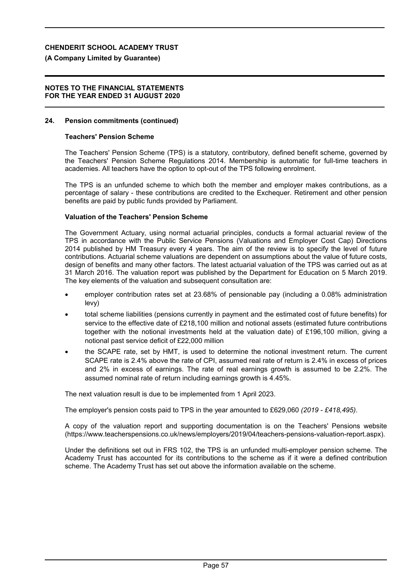**(A Company Limited by Guarantee)**

#### **NOTES TO THE FINANCIAL STATEMENTS FOR THE YEAR ENDED 31 AUGUST 2020**

#### **24. Pension commitments (continued)**

#### **Teachers' Pension Scheme**

The Teachers' Pension Scheme (TPS) is a statutory, contributory, defined benefit scheme, governed by the Teachers' Pension Scheme Regulations 2014. Membership is automatic for full-time teachers in academies. All teachers have the option to opt-out of the TPS following enrolment.

The TPS is an unfunded scheme to which both the member and employer makes contributions, as a percentage of salary - these contributions are credited to the Exchequer. Retirement and other pension benefits are paid by public funds provided by Parliament.

### **Valuation of the Teachers' Pension Scheme**

The Government Actuary, using normal actuarial principles, conducts a formal actuarial review of the TPS in accordance with the Public Service Pensions (Valuations and Employer Cost Cap) Directions 2014 published by HM Treasury every 4 years. The aim of the review is to specify the level of future contributions. Actuarial scheme valuations are dependent on assumptions about the value of future costs, design of benefits and many other factors. The latest actuarial valuation of the TPS was carried out as at 31 March 2016. The valuation report was published by the Department for Education on 5 March 2019. The key elements of the valuation and subsequent consultation are:

- employer contribution rates set at 23.68% of pensionable pay (including a 0.08% administration levy)
- total scheme liabilities (pensions currently in payment and the estimated cost of future benefits) for service to the effective date of £218,100 million and notional assets (estimated future contributions together with the notional investments held at the valuation date) of £196,100 million, giving a notional past service deficit of £22,000 million
- the SCAPE rate, set by HMT, is used to determine the notional investment return. The current SCAPE rate is 2.4% above the rate of CPI, assumed real rate of return is 2.4% in excess of prices and 2% in excess of earnings. The rate of real earnings growth is assumed to be 2.2%. The assumed nominal rate of return including earnings growth is 4.45%.

The next valuation result is due to be implemented from 1 April 2023.

The employer's pension costs paid to TPS in the year amounted to £629,060 *(2019 - £418,495)*.

A copy of the valuation report and supporting documentation is on the Teachers' Pensions website (https://www.teacherspensions.co.uk/news/employers/2019/04/teachers-pensions-valuation-report.aspx).

Under the definitions set out in FRS 102, the TPS is an unfunded multi-employer pension scheme. The Academy Trust has accounted for its contributions to the scheme as if it were a defined contribution scheme. The Academy Trust has set out above the information available on the scheme.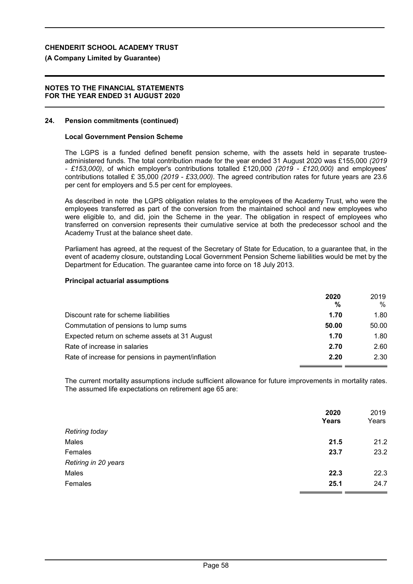# **(A Company Limited by Guarantee)**

## **NOTES TO THE FINANCIAL STATEMENTS FOR THE YEAR ENDED 31 AUGUST 2020**

# **24. Pension commitments (continued)**

# **Local Government Pension Scheme**

The LGPS is a funded defined benefit pension scheme, with the assets held in separate trusteeadministered funds. The total contribution made for the year ended 31 August 2020 was £155,000 *(2019 - £153,000)*, of which employer's contributions totalled £120,000 *(2019 - £120,000)* and employees' contributions totalled £ 35,000 *(2019 - £33,000)*. The agreed contribution rates for future years are 23.6 per cent for employers and 5.5 per cent for employees.

As described in note the LGPS obligation relates to the employees of the Academy Trust, who were the employees transferred as part of the conversion from the maintained school and new employees who were eligible to, and did, join the Scheme in the year. The obligation in respect of employees who transferred on conversion represents their cumulative service at both the predecessor school and the Academy Trust at the balance sheet date.

Parliament has agreed, at the request of the Secretary of State for Education, to a guarantee that, in the event of academy closure, outstanding Local Government Pension Scheme liabilities would be met by the Department for Education. The guarantee came into force on 18 July 2013.

# **Principal actuarial assumptions**

| 2020  | 2019  |
|-------|-------|
| %     | %     |
| 1.70  | 1.80  |
| 50.00 | 50.00 |
| 1.70  | 1.80  |
| 2.70  | 2.60  |
| 2.20  | 2.30  |
|       |       |

The current mortality assumptions include sufficient allowance for future improvements in mortality rates. The assumed life expectations on retirement age 65 are:

| Years |
|-------|
|       |
| 21.2  |
| 23.2  |
|       |
| 22.3  |
| 24.7  |
|       |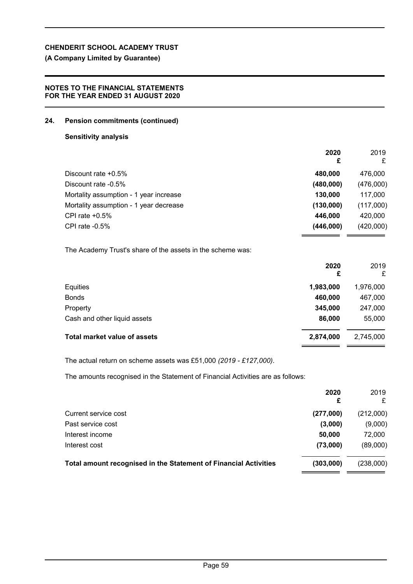**(A Company Limited by Guarantee)**

## **NOTES TO THE FINANCIAL STATEMENTS FOR THE YEAR ENDED 31 AUGUST 2020**

### **24. Pension commitments (continued)**

### **Sensitivity analysis**

|                                        | 2020<br>£ | 2019<br>£ |
|----------------------------------------|-----------|-----------|
| Discount rate $+0.5\%$                 | 480,000   | 476.000   |
| Discount rate -0.5%                    | (480,000) | (476,000) |
| Mortality assumption - 1 year increase | 130,000   | 117,000   |
| Mortality assumption - 1 year decrease | (130,000) | (117,000) |
| CPI rate $+0.5\%$                      | 446,000   | 420,000   |
| CPI rate $-0.5%$                       | (446,000) | (420,000) |

The Academy Trust's share of the assets in the scheme was:

|                                     | 2020<br>£ | 2019<br>£ |
|-------------------------------------|-----------|-----------|
| Equities                            | 1,983,000 | 1,976,000 |
| <b>Bonds</b>                        | 460,000   | 467,000   |
| Property                            | 345,000   | 247,000   |
| Cash and other liquid assets        | 86,000    | 55,000    |
| <b>Total market value of assets</b> | 2,874,000 | 2,745,000 |

The actual return on scheme assets was £51,000 *(2019 - £127,000)*.

The amounts recognised in the Statement of Financial Activities are as follows:

|                                                                  | 2020<br>£ | 2019      |
|------------------------------------------------------------------|-----------|-----------|
| Current service cost                                             | (277,000) | (212,000) |
| Past service cost                                                | (3,000)   | (9,000)   |
| Interest income                                                  | 50,000    | 72,000    |
| Interest cost                                                    | (73,000)  | (89,000)  |
| Total amount recognised in the Statement of Financial Activities | (303,000) | (238,000) |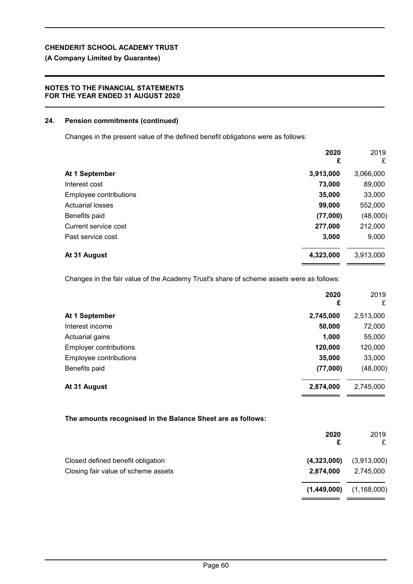# **(A Company Limited by Guarantee)**

## **NOTES TO THE FINANCIAL STATEMENTS FOR THE YEAR ENDED 31 AUGUST 2020**

### **24. Pension commitments (continued)**

Changes in the present value of the defined benefit obligations were as follows:

|                         | 2020<br>£ | 2019<br>£ |
|-------------------------|-----------|-----------|
| At 1 September          | 3,913,000 | 3,066,000 |
| Interest cost           | 73,000    | 89,000    |
| Employee contributions  | 35,000    | 33,000    |
| <b>Actuarial losses</b> | 99,000    | 552,000   |
| Benefits paid           | (77,000)  | (48,000)  |
| Current service cost    | 277,000   | 212,000   |
| Past service cost       | 3,000     | 9,000     |
| At 31 August            | 4,323,000 | 3,913,000 |

Changes in the fair value of the Academy Trust's share of scheme assets were as follows:

|                        | 2020<br>£ | 2019<br>£ |
|------------------------|-----------|-----------|
| At 1 September         | 2,745,000 | 2,513,000 |
| Interest income        | 50,000    | 72,000    |
| Actuarial gains        | 1,000     | 55,000    |
| Employer contributions | 120,000   | 120,000   |
| Employee contributions | 35,000    | 33,000    |
| Benefits paid          | (77,000)  | (48,000)  |
| At 31 August           | 2,874,000 | 2,745,000 |

#### **The amounts recognised in the Balance Sheet are as follows:**

|                                     | 2020        | 2019<br>£     |
|-------------------------------------|-------------|---------------|
| Closed defined benefit obligation   | (4,323,000) | (3,913,000)   |
| Closing fair value of scheme assets | 2,874,000   | 2,745,000     |
|                                     | (1,449,000) | (1, 168, 000) |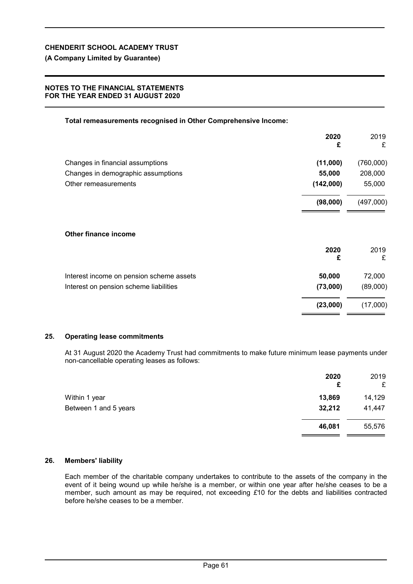## **(A Company Limited by Guarantee)**

### **NOTES TO THE FINANCIAL STATEMENTS FOR THE YEAR ENDED 31 AUGUST 2020**

### **Total remeasurements recognised in Other Comprehensive Income:**

|                                          | 2020<br>£ | 2019<br>£ |
|------------------------------------------|-----------|-----------|
| Changes in financial assumptions         | (11,000)  | (760,000) |
| Changes in demographic assumptions       | 55,000    | 208,000   |
| Other remeasurements                     | (142,000) | 55,000    |
|                                          | (98,000)  | (497,000) |
| Other finance income                     |           |           |
|                                          | 2020<br>£ | 2019<br>£ |
| Interest income on pension scheme assets | 50,000    | 72,000    |
| Interest on pension scheme liabilities   | (73,000)  | (89,000)  |
|                                          | (23,000)  | (17,000)  |

### **25. Operating lease commitments**

At 31 August 2020 the Academy Trust had commitments to make future minimum lease payments under non-cancellable operating leases as follows:

|                       | 2020<br>£ | 2019<br>£ |
|-----------------------|-----------|-----------|
| Within 1 year         | 13,869    | 14,129    |
| Between 1 and 5 years | 32,212    | 41,447    |
|                       | 46,081    | 55,576    |
|                       |           |           |

## **26. Members' liability**

Each member of the charitable company undertakes to contribute to the assets of the company in the event of it being wound up while he/she is a member, or within one year after he/she ceases to be a member, such amount as may be required, not exceeding *£*10 for the debts and liabilities contracted before he/she ceases to be a member.